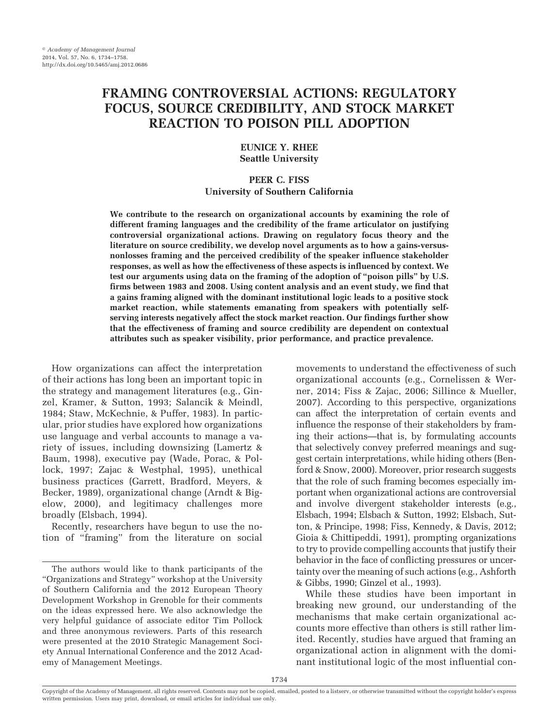# **FRAMING CONTROVERSIAL ACTIONS: REGULATORY FOCUS, SOURCE CREDIBILITY, AND STOCK MARKET REACTION TO POISON PILL ADOPTION**

# **EUNICE Y. RHEE Seattle University**

# **PEER C. FISS University of Southern California**

**We contribute to the research on organizational accounts by examining the role of different framing languages and the credibility of the frame articulator on justifying controversial organizational actions. Drawing on regulatory focus theory and the literature on source credibility, we develop novel arguments as to how a gains-versusnonlosses framing and the perceived credibility of the speaker influence stakeholder responses, as well as how the effectiveness of these aspects is influenced by context. We test our arguments using data on the framing of the adoption of "poison pills" by U.S. firms between 1983 and 2008. Using content analysis and an event study, we find that a gains framing aligned with the dominant institutional logic leads to a positive stock market reaction, while statements emanating from speakers with potentially selfserving interests negatively affect the stock market reaction. Our findings further show that the effectiveness of framing and source credibility are dependent on contextual attributes such as speaker visibility, prior performance, and practice prevalence.**

How organizations can affect the interpretation of their actions has long been an important topic in the strategy and management literatures (e.g., Ginzel, Kramer, & Sutton, 1993; Salancik & Meindl, 1984; Staw, McKechnie, & Puffer, 1983). In particular, prior studies have explored how organizations use language and verbal accounts to manage a variety of issues, including downsizing (Lamertz & Baum, 1998), executive pay (Wade, Porac, & Pollock, 1997; Zajac & Westphal, 1995), unethical business practices (Garrett, Bradford, Meyers, & Becker, 1989), organizational change (Arndt & Bigelow, 2000), and legitimacy challenges more broadly (Elsbach, 1994).

Recently, researchers have begun to use the notion of "framing" from the literature on social movements to understand the effectiveness of such organizational accounts (e.g., Cornelissen & Werner, 2014; Fiss & Zajac, 2006; Sillince & Mueller, 2007). According to this perspective, organizations can affect the interpretation of certain events and influence the response of their stakeholders by framing their actions—that is, by formulating accounts that selectively convey preferred meanings and suggest certain interpretations, while hiding others (Benford & Snow, 2000). Moreover, prior research suggests that the role of such framing becomes especially important when organizational actions are controversial and involve divergent stakeholder interests (e.g., Elsbach, 1994; Elsbach & Sutton, 1992; Elsbach, Sutton, & Principe, 1998; Fiss, Kennedy, & Davis, 2012; Gioia & Chittipeddi, 1991), prompting organizations to try to provide compelling accounts that justify their behavior in the face of conflicting pressures or uncertainty over the meaning of such actions (e.g., Ashforth & Gibbs, 1990; Ginzel et al., 1993).

While these studies have been important in breaking new ground, our understanding of the mechanisms that make certain organizational accounts more effective than others is still rather limited. Recently, studies have argued that framing an organizational action in alignment with the dominant institutional logic of the most influential con-

The authors would like to thank participants of the "Organizations and Strategy" workshop at the University of Southern California and the 2012 European Theory Development Workshop in Grenoble for their comments on the ideas expressed here. We also acknowledge the very helpful guidance of associate editor Tim Pollock and three anonymous reviewers. Parts of this research were presented at the 2010 Strategic Management Society Annual International Conference and the 2012 Academy of Management Meetings.

Copyright of the Academy of Management, all rights reserved. Contents may not be copied, emailed, posted to a listserv, or otherwise transmitted without the copyright holder's express written permission. Users may print, download, or email articles for individual use only.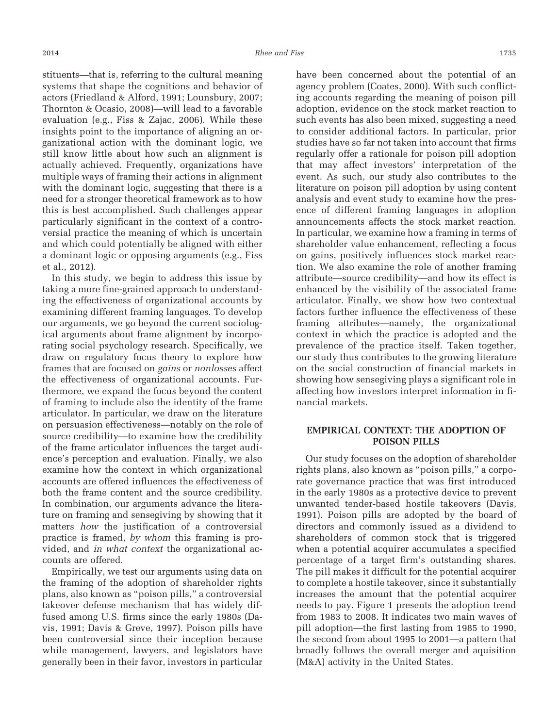stituents—that is, referring to the cultural meaning systems that shape the cognitions and behavior of actors (Friedland & Alford, 1991; Lounsbury, 2007; Thornton & Ocasio, 2008)—will lead to a favorable evaluation (e.g., Fiss & Zajac, 2006). While these insights point to the importance of aligning an organizational action with the dominant logic, we still know little about how such an alignment is actually achieved. Frequently, organizations have multiple ways of framing their actions in alignment with the dominant logic, suggesting that there is a need for a stronger theoretical framework as to how this is best accomplished. Such challenges appear particularly significant in the context of a controversial practice the meaning of which is uncertain and which could potentially be aligned with either a dominant logic or opposing arguments (e.g., Fiss et al., 2012).

In this study, we begin to address this issue by taking a more fine-grained approach to understanding the effectiveness of organizational accounts by examining different framing languages. To develop our arguments, we go beyond the current sociological arguments about frame alignment by incorporating social psychology research. Specifically, we draw on regulatory focus theory to explore how frames that are focused on *gains* or *nonlosses* affect the effectiveness of organizational accounts. Furthermore, we expand the focus beyond the content of framing to include also the identity of the frame articulator. In particular, we draw on the literature on persuasion effectiveness—notably on the role of source credibility—to examine how the credibility of the frame articulator influences the target audience's perception and evaluation. Finally, we also examine how the context in which organizational accounts are offered influences the effectiveness of both the frame content and the source credibility. In combination, our arguments advance the literature on framing and sensegiving by showing that it matters *how* the justification of a controversial practice is framed, *by whom* this framing is provided, and *in what context* the organizational accounts are offered.

Empirically, we test our arguments using data on the framing of the adoption of shareholder rights plans, also known as "poison pills," a controversial takeover defense mechanism that has widely diffused among U.S. firms since the early 1980s (Davis, 1991; Davis & Greve, 1997). Poison pills have been controversial since their inception because while management, lawyers, and legislators have generally been in their favor, investors in particular

have been concerned about the potential of an agency problem (Coates, 2000). With such conflicting accounts regarding the meaning of poison pill adoption, evidence on the stock market reaction to such events has also been mixed, suggesting a need to consider additional factors. In particular, prior studies have so far not taken into account that firms regularly offer a rationale for poison pill adoption that may affect investors' interpretation of the event. As such, our study also contributes to the literature on poison pill adoption by using content analysis and event study to examine how the presence of different framing languages in adoption announcements affects the stock market reaction. In particular, we examine how a framing in terms of shareholder value enhancement, reflecting a focus on gains, positively influences stock market reaction. We also examine the role of another framing attribute—source credibility—and how its effect is enhanced by the visibility of the associated frame articulator. Finally, we show how two contextual factors further influence the effectiveness of these framing attributes—namely, the organizational context in which the practice is adopted and the prevalence of the practice itself. Taken together, our study thus contributes to the growing literature on the social construction of financial markets in showing how sensegiving plays a significant role in affecting how investors interpret information in financial markets.

# **EMPIRICAL CONTEXT: THE ADOPTION OF POISON PILLS**

Our study focuses on the adoption of shareholder rights plans, also known as "poison pills," a corporate governance practice that was first introduced in the early 1980s as a protective device to prevent unwanted tender-based hostile takeovers (Davis, 1991). Poison pills are adopted by the board of directors and commonly issued as a dividend to shareholders of common stock that is triggered when a potential acquirer accumulates a specified percentage of a target firm's outstanding shares. The pill makes it difficult for the potential acquirer to complete a hostile takeover, since it substantially increases the amount that the potential acquirer needs to pay. Figure 1 presents the adoption trend from 1983 to 2008. It indicates two main waves of pill adoption—the first lasting from 1985 to 1990, the second from about 1995 to 2001—a pattern that broadly follows the overall merger and aquisition (M&A) activity in the United States.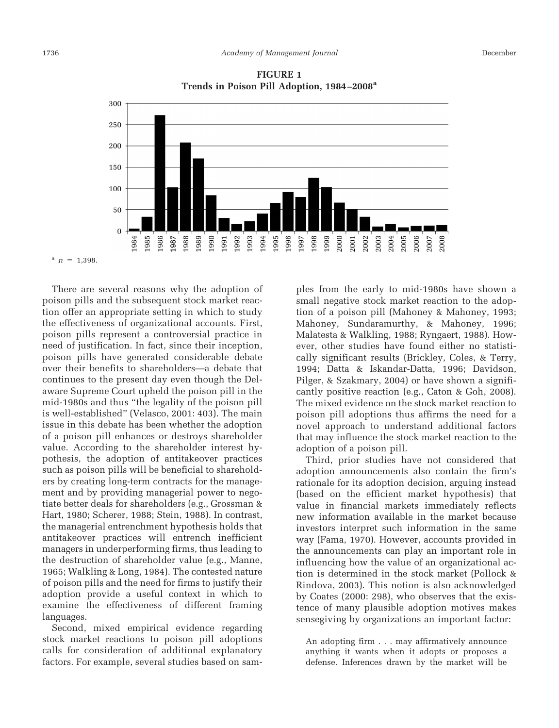

**FIGURE 1 Trends in Poison Pill Adoption, 1984 –2008a**

There are several reasons why the adoption of poison pills and the subsequent stock market reaction offer an appropriate setting in which to study the effectiveness of organizational accounts. First, poison pills represent a controversial practice in need of justification. In fact, since their inception, poison pills have generated considerable debate over their benefits to shareholders—a debate that continues to the present day even though the Delaware Supreme Court upheld the poison pill in the mid-1980s and thus "the legality of the poison pill is well-established" (Velasco, 2001: 403). The main issue in this debate has been whether the adoption of a poison pill enhances or destroys shareholder value. According to the shareholder interest hypothesis, the adoption of antitakeover practices such as poison pills will be beneficial to shareholders by creating long-term contracts for the management and by providing managerial power to negotiate better deals for shareholders (e.g., Grossman & Hart, 1980; Scherer, 1988; Stein, 1988). In contrast, the managerial entrenchment hypothesis holds that antitakeover practices will entrench inefficient managers in underperforming firms, thus leading to the destruction of shareholder value (e.g., Manne, 1965; Walkling & Long, 1984). The contested nature of poison pills and the need for firms to justify their adoption provide a useful context in which to examine the effectiveness of different framing languages.

Second, mixed empirical evidence regarding stock market reactions to poison pill adoptions calls for consideration of additional explanatory factors. For example, several studies based on samples from the early to mid-1980s have shown a small negative stock market reaction to the adoption of a poison pill (Mahoney & Mahoney, 1993; Mahoney, Sundaramurthy, & Mahoney, 1996; Malatesta & Walkling, 1988; Ryngaert, 1988). However, other studies have found either no statistically significant results (Brickley, Coles, & Terry, 1994; Datta & Iskandar-Datta, 1996; Davidson, Pilger, & Szakmary, 2004) or have shown a significantly positive reaction (e.g., Caton & Goh, 2008). The mixed evidence on the stock market reaction to poison pill adoptions thus affirms the need for a novel approach to understand additional factors that may influence the stock market reaction to the adoption of a poison pill.

Third, prior studies have not considered that adoption announcements also contain the firm's rationale for its adoption decision, arguing instead (based on the efficient market hypothesis) that value in financial markets immediately reflects new information available in the market because investors interpret such information in the same way (Fama, 1970). However, accounts provided in the announcements can play an important role in influencing how the value of an organizational action is determined in the stock market (Pollock & Rindova, 2003). This notion is also acknowledged by Coates (2000: 298), who observes that the existence of many plausible adoption motives makes sensegiving by organizations an important factor:

An adopting firm . . . may affirmatively announce anything it wants when it adopts or proposes a defense. Inferences drawn by the market will be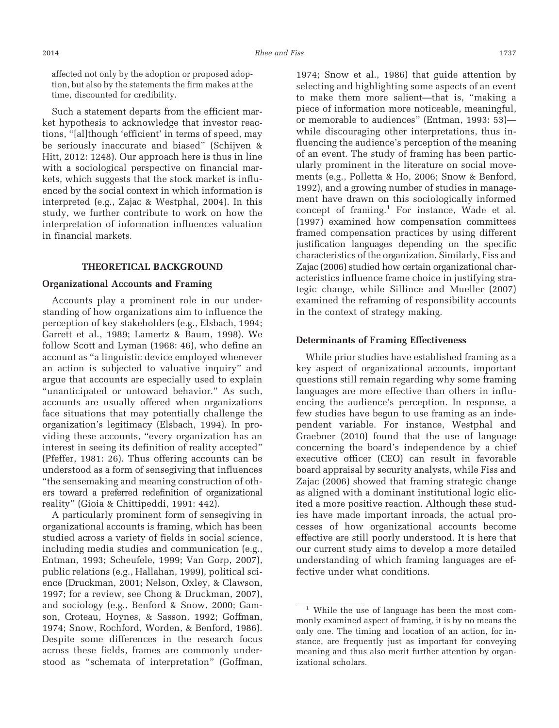Such a statement departs from the efficient market hypothesis to acknowledge that investor reactions, "[al]though 'efficient' in terms of speed, may be seriously inaccurate and biased" (Schijven & Hitt, 2012: 1248). Our approach here is thus in line with a sociological perspective on financial markets, which suggests that the stock market is influenced by the social context in which information is interpreted (e.g., Zajac & Westphal, 2004). In this study, we further contribute to work on how the interpretation of information influences valuation in financial markets.

#### **THEORETICAL BACKGROUND**

### **Organizational Accounts and Framing**

Accounts play a prominent role in our understanding of how organizations aim to influence the perception of key stakeholders (e.g., Elsbach, 1994; Garrett et al., 1989; Lamertz & Baum, 1998). We follow Scott and Lyman (1968: 46), who define an account as "a linguistic device employed whenever an action is subjected to valuative inquiry" and argue that accounts are especially used to explain "unanticipated or untoward behavior." As such, accounts are usually offered when organizations face situations that may potentially challenge the organization's legitimacy (Elsbach, 1994). In providing these accounts, "every organization has an interest in seeing its definition of reality accepted" (Pfeffer, 1981: 26). Thus offering accounts can be understood as a form of sensegiving that influences "the sensemaking and meaning construction of others toward a preferred redefinition of organizational reality" (Gioia & Chittipeddi, 1991: 442).

A particularly prominent form of sensegiving in organizational accounts is framing, which has been studied across a variety of fields in social science, including media studies and communication (e.g., Entman, 1993; Scheufele, 1999; Van Gorp, 2007), public relations (e.g., Hallahan, 1999), political science (Druckman, 2001; Nelson, Oxley, & Clawson, 1997; for a review, see Chong & Druckman, 2007), and sociology (e.g., Benford & Snow, 2000; Gamson, Croteau, Hoynes, & Sasson, 1992; Goffman, 1974; Snow, Rochford, Worden, & Benford, 1986). Despite some differences in the research focus across these fields, frames are commonly understood as "schemata of interpretation" (Goffman,

1974; Snow et al., 1986) that guide attention by selecting and highlighting some aspects of an event to make them more salient—that is, "making a piece of information more noticeable, meaningful, or memorable to audiences" (Entman, 1993: 53) while discouraging other interpretations, thus influencing the audience's perception of the meaning of an event. The study of framing has been particularly prominent in the literature on social movements (e.g., Polletta & Ho, 2006; Snow & Benford, 1992), and a growing number of studies in management have drawn on this sociologically informed concept of framing.<sup>1</sup> For instance, Wade et al. (1997) examined how compensation committees framed compensation practices by using different justification languages depending on the specific characteristics of the organization. Similarly, Fiss and Zajac (2006) studied how certain organizational characteristics influence frame choice in justifying strategic change, while Sillince and Mueller (2007) examined the reframing of responsibility accounts in the context of strategy making.

#### **Determinants of Framing Effectiveness**

While prior studies have established framing as a key aspect of organizational accounts, important questions still remain regarding why some framing languages are more effective than others in influencing the audience's perception. In response, a few studies have begun to use framing as an independent variable. For instance, Westphal and Graebner (2010) found that the use of language concerning the board's independence by a chief executive officer (CEO) can result in favorable board appraisal by security analysts, while Fiss and Zajac (2006) showed that framing strategic change as aligned with a dominant institutional logic elicited a more positive reaction. Although these studies have made important inroads, the actual processes of how organizational accounts become effective are still poorly understood. It is here that our current study aims to develop a more detailed understanding of which framing languages are effective under what conditions.

<sup>&</sup>lt;sup>1</sup> While the use of language has been the most commonly examined aspect of framing, it is by no means the only one. The timing and location of an action, for instance, are frequently just as important for conveying meaning and thus also merit further attention by organizational scholars.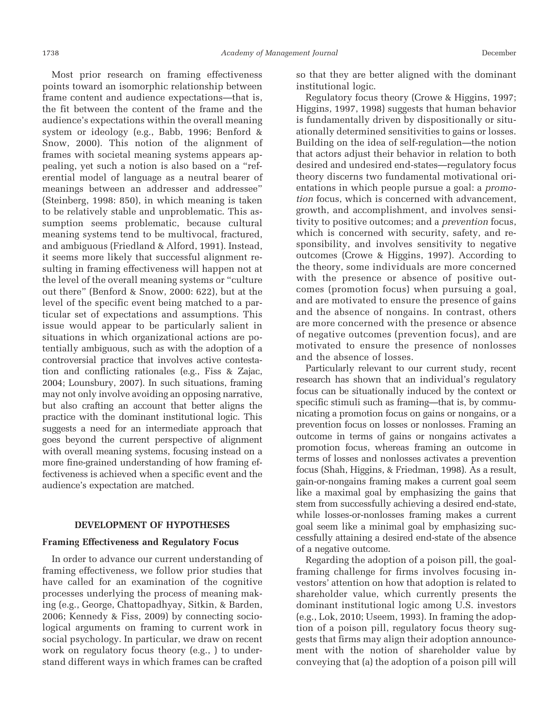Most prior research on framing effectiveness points toward an isomorphic relationship between frame content and audience expectations—that is, the fit between the content of the frame and the audience's expectations within the overall meaning system or ideology (e.g., Babb, 1996; Benford & Snow, 2000). This notion of the alignment of frames with societal meaning systems appears appealing, yet such a notion is also based on a "referential model of language as a neutral bearer of meanings between an addresser and addressee" (Steinberg, 1998: 850), in which meaning is taken to be relatively stable and unproblematic. This assumption seems problematic, because cultural meaning systems tend to be multivocal, fractured, and ambiguous (Friedland & Alford, 1991). Instead, it seems more likely that successful alignment resulting in framing effectiveness will happen not at the level of the overall meaning systems or "culture out there" (Benford & Snow, 2000: 622), but at the level of the specific event being matched to a particular set of expectations and assumptions. This issue would appear to be particularly salient in situations in which organizational actions are potentially ambiguous, such as with the adoption of a controversial practice that involves active contestation and conflicting rationales (e.g., Fiss & Zajac, 2004; Lounsbury, 2007). In such situations, framing may not only involve avoiding an opposing narrative, but also crafting an account that better aligns the practice with the dominant institutional logic. This suggests a need for an intermediate approach that goes beyond the current perspective of alignment with overall meaning systems, focusing instead on a more fine-grained understanding of how framing effectiveness is achieved when a specific event and the audience's expectation are matched.

#### **DEVELOPMENT OF HYPOTHESES**

#### **Framing Effectiveness and Regulatory Focus**

In order to advance our current understanding of framing effectiveness, we follow prior studies that have called for an examination of the cognitive processes underlying the process of meaning making (e.g., George, Chattopadhyay, Sitkin, & Barden, 2006; Kennedy & Fiss, 2009) by connecting sociological arguments on framing to current work in social psychology. In particular, we draw on recent work on regulatory focus theory (e.g., ) to understand different ways in which frames can be crafted

so that they are better aligned with the dominant institutional logic.

Regulatory focus theory (Crowe & Higgins, 1997; Higgins, 1997, 1998) suggests that human behavior is fundamentally driven by dispositionally or situationally determined sensitivities to gains or losses. Building on the idea of self-regulation—the notion that actors adjust their behavior in relation to both desired and undesired end-states—regulatory focus theory discerns two fundamental motivational orientations in which people pursue a goal: a *promotion* focus, which is concerned with advancement, growth, and accomplishment, and involves sensitivity to positive outcomes; and a *prevention* focus, which is concerned with security, safety, and responsibility, and involves sensitivity to negative outcomes (Crowe & Higgins, 1997). According to the theory, some individuals are more concerned with the presence or absence of positive outcomes (promotion focus) when pursuing a goal, and are motivated to ensure the presence of gains and the absence of nongains. In contrast, others are more concerned with the presence or absence of negative outcomes (prevention focus), and are motivated to ensure the presence of nonlosses and the absence of losses.

Particularly relevant to our current study, recent research has shown that an individual's regulatory focus can be situationally induced by the context or specific stimuli such as framing—that is, by communicating a promotion focus on gains or nongains, or a prevention focus on losses or nonlosses. Framing an outcome in terms of gains or nongains activates a promotion focus, whereas framing an outcome in terms of losses and nonlosses activates a prevention focus (Shah, Higgins, & Friedman, 1998). As a result, gain-or-nongains framing makes a current goal seem like a maximal goal by emphasizing the gains that stem from successfully achieving a desired end-state, while losses-or-nonlosses framing makes a current goal seem like a minimal goal by emphasizing successfully attaining a desired end-state of the absence of a negative outcome.

Regarding the adoption of a poison pill, the goalframing challenge for firms involves focusing investors' attention on how that adoption is related to shareholder value, which currently presents the dominant institutional logic among U.S. investors (e.g., Lok, 2010; Useem, 1993). In framing the adoption of a poison pill, regulatory focus theory suggests that firms may align their adoption announcement with the notion of shareholder value by conveying that (a) the adoption of a poison pill will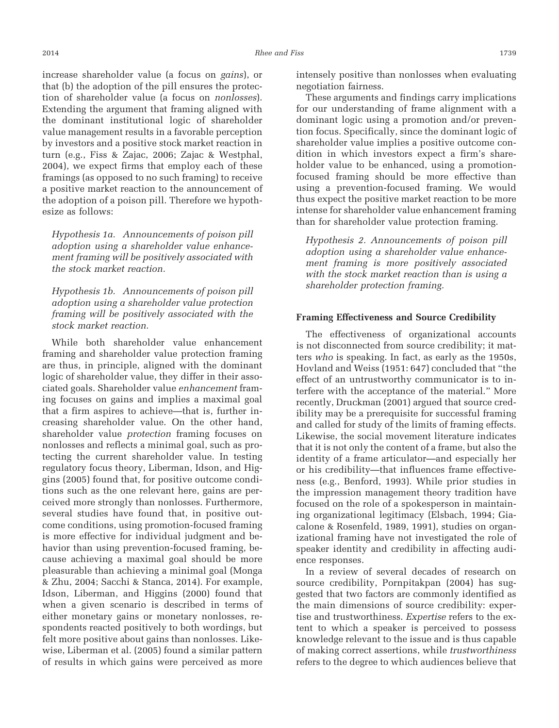increase shareholder value (a focus on *gains*), or that (b) the adoption of the pill ensures the protection of shareholder value (a focus on *nonlosses*). Extending the argument that framing aligned with the dominant institutional logic of shareholder value management results in a favorable perception by investors and a positive stock market reaction in turn (e.g., Fiss & Zajac, 2006; Zajac & Westphal, 2004), we expect firms that employ each of these framings (as opposed to no such framing) to receive a positive market reaction to the announcement of the adoption of a poison pill. Therefore we hypothesize as follows:

*Hypothesis 1a. Announcements of poison pill adoption using a shareholder value enhancement framing will be positively associated with the stock market reaction.*

*Hypothesis 1b. Announcements of poison pill adoption using a shareholder value protection framing will be positively associated with the stock market reaction.*

While both shareholder value enhancement framing and shareholder value protection framing are thus, in principle, aligned with the dominant logic of shareholder value, they differ in their associated goals. Shareholder value *enhancement* framing focuses on gains and implies a maximal goal that a firm aspires to achieve—that is, further increasing shareholder value. On the other hand, shareholder value *protection* framing focuses on nonlosses and reflects a minimal goal, such as protecting the current shareholder value. In testing regulatory focus theory, Liberman, Idson, and Higgins (2005) found that, for positive outcome conditions such as the one relevant here, gains are perceived more strongly than nonlosses. Furthermore, several studies have found that, in positive outcome conditions, using promotion-focused framing is more effective for individual judgment and behavior than using prevention-focused framing, because achieving a maximal goal should be more pleasurable than achieving a minimal goal (Monga & Zhu, 2004; Sacchi & Stanca, 2014). For example, Idson, Liberman, and Higgins (2000) found that when a given scenario is described in terms of either monetary gains or monetary nonlosses, respondents reacted positively to both wordings, but felt more positive about gains than nonlosses. Likewise, Liberman et al. (2005) found a similar pattern of results in which gains were perceived as more

intensely positive than nonlosses when evaluating negotiation fairness.

These arguments and findings carry implications for our understanding of frame alignment with a dominant logic using a promotion and/or prevention focus. Specifically, since the dominant logic of shareholder value implies a positive outcome condition in which investors expect a firm's shareholder value to be enhanced, using a promotionfocused framing should be more effective than using a prevention-focused framing. We would thus expect the positive market reaction to be more intense for shareholder value enhancement framing than for shareholder value protection framing.

*Hypothesis 2. Announcements of poison pill adoption using a shareholder value enhancement framing is more positively associated with the stock market reaction than is using a shareholder protection framing.*

#### **Framing Effectiveness and Source Credibility**

The effectiveness of organizational accounts is not disconnected from source credibility; it matters *who* is speaking. In fact, as early as the 1950s, Hovland and Weiss (1951: 647) concluded that "the effect of an untrustworthy communicator is to interfere with the acceptance of the material." More recently, Druckman (2001) argued that source credibility may be a prerequisite for successful framing and called for study of the limits of framing effects. Likewise, the social movement literature indicates that it is not only the content of a frame, but also the identity of a frame articulator—and especially her or his credibility—that influences frame effectiveness (e.g., Benford, 1993). While prior studies in the impression management theory tradition have focused on the role of a spokesperson in maintaining organizational legitimacy (Elsbach, 1994; Giacalone & Rosenfeld, 1989, 1991), studies on organizational framing have not investigated the role of speaker identity and credibility in affecting audience responses.

In a review of several decades of research on source credibility, Pornpitakpan (2004) has suggested that two factors are commonly identified as the main dimensions of source credibility: expertise and trustworthiness. *Expertise* refers to the extent to which a speaker is perceived to possess knowledge relevant to the issue and is thus capable of making correct assertions, while *trustworthiness* refers to the degree to which audiences believe that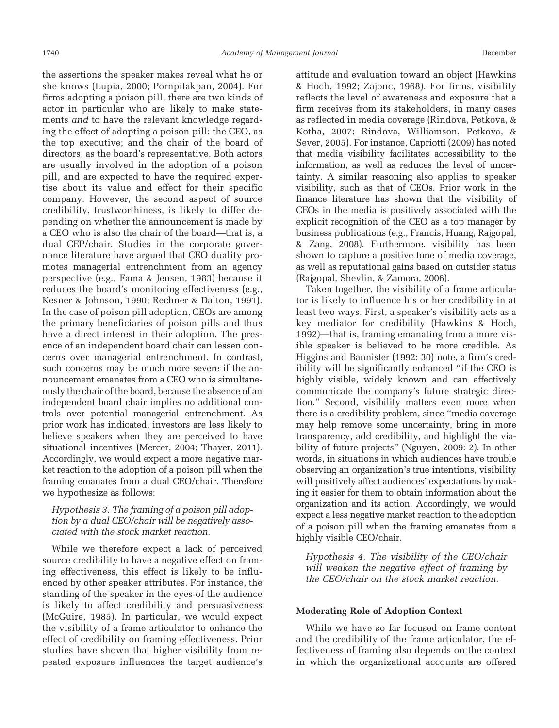the assertions the speaker makes reveal what he or she knows (Lupia, 2000; Pornpitakpan, 2004). For firms adopting a poison pill, there are two kinds of actor in particular who are likely to make statements *and* to have the relevant knowledge regarding the effect of adopting a poison pill: the CEO, as the top executive; and the chair of the board of directors, as the board's representative. Both actors are usually involved in the adoption of a poison pill, and are expected to have the required expertise about its value and effect for their specific company. However, the second aspect of source credibility, trustworthiness, is likely to differ depending on whether the announcement is made by a CEO who is also the chair of the board—that is, a dual CEP/chair. Studies in the corporate governance literature have argued that CEO duality promotes managerial entrenchment from an agency perspective (e.g., Fama & Jensen, 1983) because it reduces the board's monitoring effectiveness (e.g., Kesner & Johnson, 1990; Rechner & Dalton, 1991). In the case of poison pill adoption, CEOs are among the primary beneficiaries of poison pills and thus have a direct interest in their adoption. The presence of an independent board chair can lessen concerns over managerial entrenchment. In contrast, such concerns may be much more severe if the announcement emanates from a CEO who is simultaneously the chair of the board, because the absence of an independent board chair implies no additional controls over potential managerial entrenchment. As prior work has indicated, investors are less likely to believe speakers when they are perceived to have situational incentives (Mercer, 2004; Thayer, 2011). Accordingly, we would expect a more negative market reaction to the adoption of a poison pill when the framing emanates from a dual CEO/chair. Therefore we hypothesize as follows:

# *Hypothesis 3. The framing of a poison pill adoption by a dual CEO/chair will be negatively associated with the stock market reaction.*

While we therefore expect a lack of perceived source credibility to have a negative effect on framing effectiveness, this effect is likely to be influenced by other speaker attributes. For instance, the standing of the speaker in the eyes of the audience is likely to affect credibility and persuasiveness (McGuire, 1985). In particular, we would expect the visibility of a frame articulator to enhance the effect of credibility on framing effectiveness. Prior studies have shown that higher visibility from repeated exposure influences the target audience's

attitude and evaluation toward an object (Hawkins & Hoch, 1992; Zajonc, 1968). For firms, visibility reflects the level of awareness and exposure that a firm receives from its stakeholders, in many cases as reflected in media coverage (Rindova, Petkova, & Kotha, 2007; Rindova, Williamson, Petkova, & Sever, 2005). For instance, Capriotti (2009) has noted that media visibility facilitates accessibility to the information, as well as reduces the level of uncertainty. A similar reasoning also applies to speaker visibility, such as that of CEOs. Prior work in the finance literature has shown that the visibility of CEOs in the media is positively associated with the explicit recognition of the CEO as a top manager by business publications (e.g., Francis, Huang, Rajgopal, & Zang, 2008). Furthermore, visibility has been shown to capture a positive tone of media coverage, as well as reputational gains based on outsider status (Rajgopal, Shevlin, & Zamora, 2006).

Taken together, the visibility of a frame articulator is likely to influence his or her credibility in at least two ways. First, a speaker's visibility acts as a key mediator for credibility (Hawkins & Hoch, 1992)—that is, framing emanating from a more visible speaker is believed to be more credible. As Higgins and Bannister (1992: 30) note, a firm's credibility will be significantly enhanced "if the CEO is highly visible, widely known and can effectively communicate the company's future strategic direction." Second, visibility matters even more when there is a credibility problem, since "media coverage may help remove some uncertainty, bring in more transparency, add credibility, and highlight the viability of future projects" (Nguyen, 2009: 2). In other words, in situations in which audiences have trouble observing an organization's true intentions, visibility will positively affect audiences' expectations by making it easier for them to obtain information about the organization and its action. Accordingly, we would expect a less negative market reaction to the adoption of a poison pill when the framing emanates from a highly visible CEO/chair.

*Hypothesis 4. The visibility of the CEO/chair will weaken the negative effect of framing by the CEO/chair on the stock market reaction.*

# **Moderating Role of Adoption Context**

While we have so far focused on frame content and the credibility of the frame articulator, the effectiveness of framing also depends on the context in which the organizational accounts are offered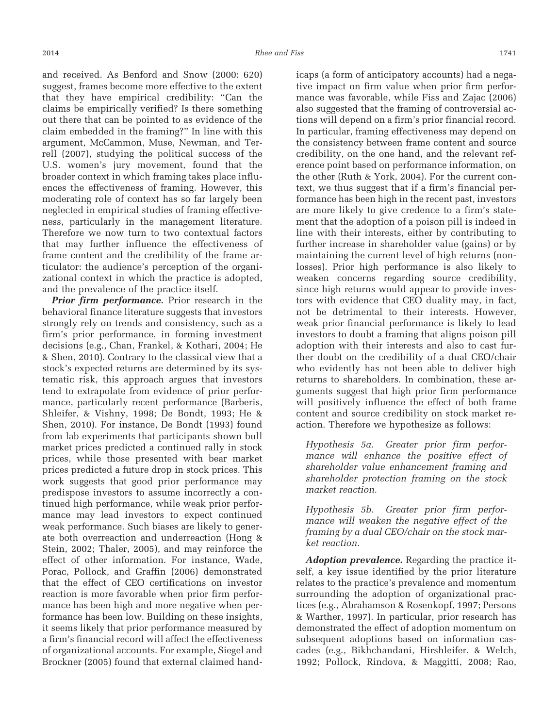and received. As Benford and Snow (2000: 620) suggest, frames become more effective to the extent that they have empirical credibility: "Can the claims be empirically verified? Is there something out there that can be pointed to as evidence of the claim embedded in the framing?" In line with this argument, McCammon, Muse, Newman, and Terrell (2007), studying the political success of the U.S. women's jury movement, found that the broader context in which framing takes place influences the effectiveness of framing. However, this moderating role of context has so far largely been neglected in empirical studies of framing effectiveness, particularly in the management literature. Therefore we now turn to two contextual factors that may further influence the effectiveness of frame content and the credibility of the frame articulator: the audience's perception of the organizational context in which the practice is adopted, and the prevalence of the practice itself.

*Prior firm performance.* Prior research in the behavioral finance literature suggests that investors strongly rely on trends and consistency, such as a firm's prior performance, in forming investment decisions (e.g., Chan, Frankel, & Kothari, 2004; He & Shen, 2010). Contrary to the classical view that a stock's expected returns are determined by its systematic risk, this approach argues that investors tend to extrapolate from evidence of prior performance, particularly recent performance (Barberis, Shleifer, & Vishny, 1998; De Bondt, 1993; He & Shen, 2010). For instance, De Bondt (1993) found from lab experiments that participants shown bull market prices predicted a continued rally in stock prices, while those presented with bear market prices predicted a future drop in stock prices. This work suggests that good prior performance may predispose investors to assume incorrectly a continued high performance, while weak prior performance may lead investors to expect continued weak performance. Such biases are likely to generate both overreaction and underreaction (Hong & Stein, 2002; Thaler, 2005), and may reinforce the effect of other information. For instance, Wade, Porac, Pollock, and Graffin (2006) demonstrated that the effect of CEO certifications on investor reaction is more favorable when prior firm performance has been high and more negative when performance has been low. Building on these insights, it seems likely that prior performance measured by a firm's financial record will affect the effectiveness of organizational accounts. For example, Siegel and Brockner (2005) found that external claimed handicaps (a form of anticipatory accounts) had a negative impact on firm value when prior firm performance was favorable, while Fiss and Zajac (2006) also suggested that the framing of controversial actions will depend on a firm's prior financial record. In particular, framing effectiveness may depend on the consistency between frame content and source credibility, on the one hand, and the relevant reference point based on performance information, on the other (Ruth & York, 2004). For the current context, we thus suggest that if a firm's financial performance has been high in the recent past, investors are more likely to give credence to a firm's statement that the adoption of a poison pill is indeed in line with their interests, either by contributing to further increase in shareholder value (gains) or by maintaining the current level of high returns (nonlosses). Prior high performance is also likely to weaken concerns regarding source credibility, since high returns would appear to provide investors with evidence that CEO duality may, in fact, not be detrimental to their interests. However, weak prior financial performance is likely to lead investors to doubt a framing that aligns poison pill adoption with their interests and also to cast further doubt on the credibility of a dual CEO/chair who evidently has not been able to deliver high returns to shareholders. In combination, these arguments suggest that high prior firm performance will positively influence the effect of both frame content and source credibility on stock market reaction. Therefore we hypothesize as follows:

*Hypothesis 5a. Greater prior firm performance will enhance the positive effect of shareholder value enhancement framing and shareholder protection framing on the stock market reaction.*

*Hypothesis 5b. Greater prior firm performance will weaken the negative effect of the framing by a dual CEO/chair on the stock market reaction.*

*Adoption prevalence.* Regarding the practice itself, a key issue identified by the prior literature relates to the practice's prevalence and momentum surrounding the adoption of organizational practices (e.g., Abrahamson & Rosenkopf, 1997; Persons & Warther, 1997). In particular, prior research has demonstrated the effect of adoption momentum on subsequent adoptions based on information cascades (e.g., Bikhchandani, Hirshleifer, & Welch, 1992; Pollock, Rindova, & Maggitti, 2008; Rao,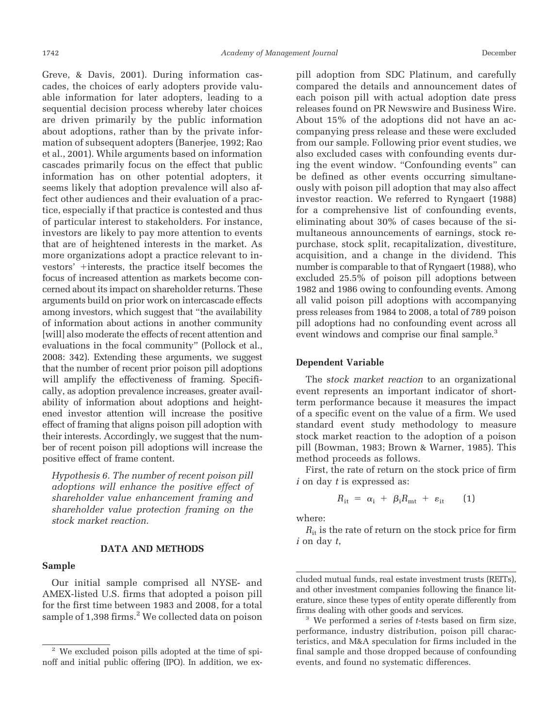Greve, & Davis, 2001). During information cascades, the choices of early adopters provide valuable information for later adopters, leading to a sequential decision process whereby later choices are driven primarily by the public information about adoptions, rather than by the private information of subsequent adopters (Banerjee, 1992; Rao et al., 2001). While arguments based on information cascades primarily focus on the effect that public information has on other potential adopters, it seems likely that adoption prevalence will also affect other audiences and their evaluation of a practice, especially if that practice is contested and thus of particular interest to stakeholders. For instance, investors are likely to pay more attention to events that are of heightened interests in the market. As more organizations adopt a practice relevant to investors' +interests, the practice itself becomes the focus of increased attention as markets become concerned about its impact on shareholder returns. These arguments build on prior work on intercascade effects among investors, which suggest that "the availability of information about actions in another community [will] also moderate the effects of recent attention and evaluations in the focal community" (Pollock et al., 2008: 342). Extending these arguments, we suggest that the number of recent prior poison pill adoptions will amplify the effectiveness of framing. Specifically, as adoption prevalence increases, greater availability of information about adoptions and heightened investor attention will increase the positive effect of framing that aligns poison pill adoption with their interests. Accordingly, we suggest that the number of recent poison pill adoptions will increase the positive effect of frame content.

*Hypothesis 6. The number of recent poison pill adoptions will enhance the positive effect of shareholder value enhancement framing and shareholder value protection framing on the stock market reaction.*

#### **DATA AND METHODS**

#### **Sample**

Our initial sample comprised all NYSE- and AMEX-listed U.S. firms that adopted a poison pill for the first time between 1983 and 2008, for a total sample of 1,398 firms.<sup>2</sup> We collected data on poison pill adoption from SDC Platinum, and carefully compared the details and announcement dates of each poison pill with actual adoption date press releases found on PR Newswire and Business Wire. About 15% of the adoptions did not have an accompanying press release and these were excluded from our sample. Following prior event studies, we also excluded cases with confounding events during the event window. "Confounding events" can be defined as other events occurring simultaneously with poison pill adoption that may also affect investor reaction. We referred to Ryngaert (1988) for a comprehensive list of confounding events, eliminating about 30% of cases because of the simultaneous announcements of earnings, stock repurchase, stock split, recapitalization, divestiture, acquisition, and a change in the dividend. This number is comparable to that of Ryngaert (1988), who excluded 25.5% of poison pill adoptions between 1982 and 1986 owing to confounding events. Among all valid poison pill adoptions with accompanying press releases from 1984 to 2008, a total of 789 poison pill adoptions had no confounding event across all event windows and comprise our final sample.<sup>3</sup>

#### **Dependent Variable**

The s*tock market reaction* to an organizational event represents an important indicator of shortterm performance because it measures the impact of a specific event on the value of a firm. We used standard event study methodology to measure stock market reaction to the adoption of a poison pill (Bowman, 1983; Brown & Warner, 1985). This method proceeds as follows.

First, the rate of return on the stock price of firm *i* on day *t* is expressed as:

$$
R_{\rm it} = \alpha_{\rm i} + \beta_{\rm i} R_{\rm mt} + \varepsilon_{\rm it} \qquad (1)
$$

where:

 $R_{it}$  is the rate of return on the stock price for firm *i* on day *t*,

<sup>2</sup> We excluded poison pills adopted at the time of spinoff and initial public offering (IPO). In addition, we ex-

cluded mutual funds, real estate investment trusts (REITs), and other investment companies following the finance literature, since these types of entity operate differently from firms dealing with other goods and services. <sup>3</sup> We performed a series of *<sup>t</sup>*-tests based on firm size,

performance, industry distribution, poison pill characteristics, and M&A speculation for firms included in the final sample and those dropped because of confounding events, and found no systematic differences.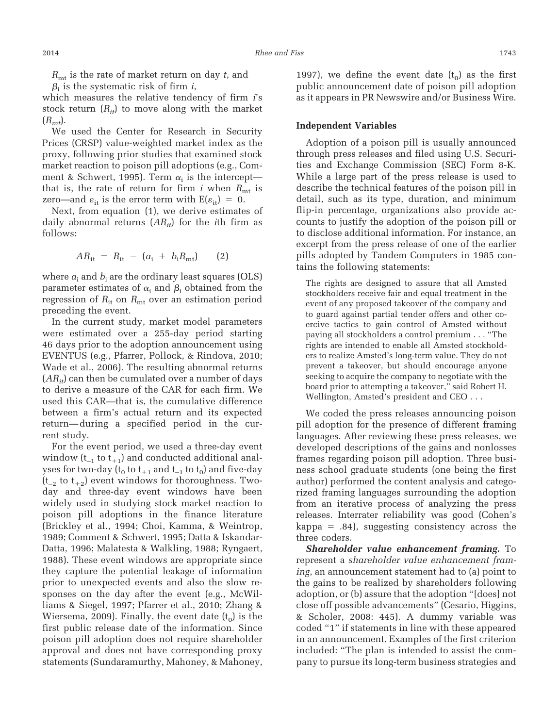*R*mt is the rate of market return on day *t*, and  $\beta_i$  is the systematic risk of firm *i*,

which measures the relative tendency of firm *i*'s stock return  $(R_{it})$  to move along with the market  $(R_{mt})$ .

We used the Center for Research in Security Prices (CRSP) value-weighted market index as the proxy, following prior studies that examined stock market reaction to poison pill adoptions (e.g., Comment & Schwert, 1995). Term  $\alpha_i$  is the intercept that is, the rate of return for firm  $i$  when  $R_{mt}$  is zero—and  $\varepsilon_{it}$  is the error term with  $E(\varepsilon_{it}) = 0$ .

Next, from equation (1), we derive estimates of daily abnormal returns (*ARit*) for the *i*th firm as follows:

$$
AR_{it} = R_{it} - (a_i + b_i R_{mt}) \qquad (2)
$$

where  $a_i$  and  $b_i$  are the ordinary least squares (OLS) parameter estimates of  $\alpha_{\rm i}$  and  $\beta_{\rm i}$  obtained from the regression of  $R_{\text{it}}$  on  $R_{\text{mt}}$  over an estimation period preceding the event.

In the current study, market model parameters were estimated over a 255-day period starting 46 days prior to the adoption announcement using EVENTUS (e.g., Pfarrer, Pollock, & Rindova, 2010; Wade et al., 2006). The resulting abnormal returns  $(AR_{it})$  can then be cumulated over a number of days to derive a measure of the CAR for each firm. We used this CAR—that is, the cumulative difference between a firm's actual return and its expected return—during a specified period in the current study.

For the event period, we used a three-day event window ( $t_{-1}$  to  $t_{+1}$ ) and conducted additional analyses for two-day ( $t_0$  to  $t_{+1}$  and  $t_{-1}$  to  $t_0$ ) and five-day  $(t_{-2}$  to  $t_{+2})$  event windows for thoroughness. Twoday and three-day event windows have been widely used in studying stock market reaction to poison pill adoptions in the finance literature (Brickley et al., 1994; Choi, Kamma, & Weintrop, 1989; Comment & Schwert, 1995; Datta & Iskandar-Datta, 1996; Malatesta & Walkling, 1988; Ryngaert, 1988). These event windows are appropriate since they capture the potential leakage of information prior to unexpected events and also the slow responses on the day after the event (e.g., McWilliams & Siegel, 1997; Pfarrer et al., 2010; Zhang & Wiersema, 2009). Finally, the event date  $(t_0)$  is the first public release date of the information. Since poison pill adoption does not require shareholder approval and does not have corresponding proxy statements (Sundaramurthy, Mahoney, & Mahoney, 1997), we define the event date  $(t_0)$  as the first public announcement date of poison pill adoption as it appears in PR Newswire and/or Business Wire.

#### **Independent Variables**

Adoption of a poison pill is usually announced through press releases and filed using U.S. Securities and Exchange Commission (SEC) Form 8-K. While a large part of the press release is used to describe the technical features of the poison pill in detail, such as its type, duration, and minimum flip-in percentage, organizations also provide accounts to justify the adoption of the poison pill or to disclose additional information. For instance, an excerpt from the press release of one of the earlier pills adopted by Tandem Computers in 1985 contains the following statements:

The rights are designed to assure that all Amsted stockholders receive fair and equal treatment in the event of any proposed takeover of the company and to guard against partial tender offers and other coercive tactics to gain control of Amsted without paying all stockholders a control premium... "The rights are intended to enable all Amsted stockholders to realize Amsted's long-term value. They do not prevent a takeover, but should encourage anyone seeking to acquire the company to negotiate with the board prior to attempting a takeover," said Robert H. Wellington, Amsted's president and CEO...

We coded the press releases announcing poison pill adoption for the presence of different framing languages. After reviewing these press releases, we developed descriptions of the gains and nonlosses frames regarding poison pill adoption. Three business school graduate students (one being the first author) performed the content analysis and categorized framing languages surrounding the adoption from an iterative process of analyzing the press releases. Interrater reliability was good (Cohen's kappa - .84), suggesting consistency across the three coders.

*Shareholder value enhancement framing.* To represent a *shareholder value enhancement framing*, an announcement statement had to (a) point to the gains to be realized by shareholders following adoption, or (b) assure that the adoption "[does] not close off possible advancements" (Cesario, Higgins, & Scholer, 2008: 445). A dummy variable was coded "1" if statements in line with these appeared in an announcement. Examples of the first criterion included: "The plan is intended to assist the company to pursue its long-term business strategies and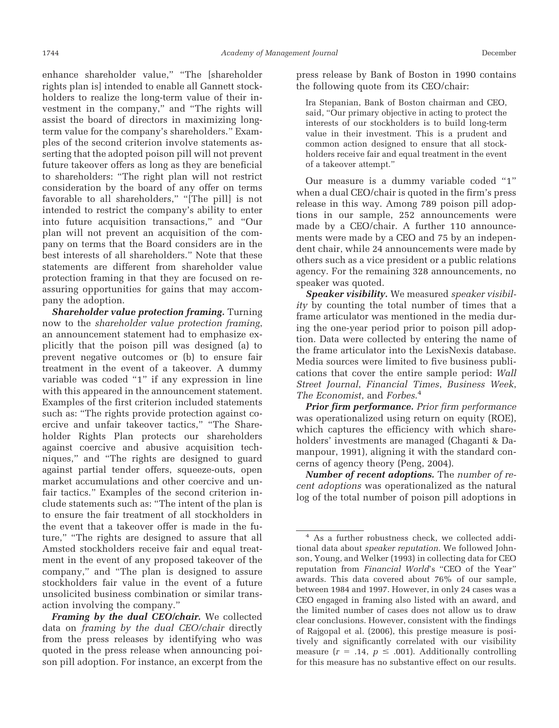enhance shareholder value," "The [shareholder rights plan is] intended to enable all Gannett stockholders to realize the long-term value of their investment in the company," and "The rights will assist the board of directors in maximizing longterm value for the company's shareholders." Examples of the second criterion involve statements asserting that the adopted poison pill will not prevent future takeover offers as long as they are beneficial to shareholders: "The right plan will not restrict consideration by the board of any offer on terms favorable to all shareholders," "[The pill] is not intended to restrict the company's ability to enter into future acquisition transactions," and "Our plan will not prevent an acquisition of the company on terms that the Board considers are in the best interests of all shareholders." Note that these statements are different from shareholder value protection framing in that they are focused on reassuring opportunities for gains that may accompany the adoption.

*Shareholder value protection framing.* Turning now to the *shareholder value protection framing*, an announcement statement had to emphasize explicitly that the poison pill was designed (a) to prevent negative outcomes or (b) to ensure fair treatment in the event of a takeover. A dummy variable was coded "1" if any expression in line with this appeared in the announcement statement. Examples of the first criterion included statements such as: "The rights provide protection against coercive and unfair takeover tactics," "The Shareholder Rights Plan protects our shareholders against coercive and abusive acquisition techniques," and "The rights are designed to guard against partial tender offers, squeeze-outs, open market accumulations and other coercive and unfair tactics." Examples of the second criterion include statements such as: "The intent of the plan is to ensure the fair treatment of all stockholders in the event that a takeover offer is made in the future," "The rights are designed to assure that all Amsted stockholders receive fair and equal treatment in the event of any proposed takeover of the company," and "The plan is designed to assure stockholders fair value in the event of a future unsolicited business combination or similar transaction involving the company."

press release by Bank of Boston in 1990 contains the following quote from its CEO/chair:

Ira Stepanian, Bank of Boston chairman and CEO, said, "Our primary objective in acting to protect the interests of our stockholders is to build long-term value in their investment. This is a prudent and common action designed to ensure that all stockholders receive fair and equal treatment in the event of a takeover attempt."

Our measure is a dummy variable coded "1" when a dual CEO/chair is quoted in the firm's press release in this way. Among 789 poison pill adoptions in our sample, 252 announcements were made by a CEO/chair. A further 110 announcements were made by a CEO and 75 by an independent chair, while 24 announcements were made by others such as a vice president or a public relations agency. For the remaining 328 announcements, no speaker was quoted.

*Speaker visibility.* We measured *speaker visibility* by counting the total number of times that a frame articulator was mentioned in the media during the one-year period prior to poison pill adoption. Data were collected by entering the name of the frame articulator into the LexisNexis database. Media sources were limited to five business publications that cover the entire sample period: *Wall Street Journal*, *Financial Times*, *Business Week*, *The Economist*, and *Forbes*. 4

*Prior firm performance. Prior firm performance* was operationalized using return on equity (ROE), which captures the efficiency with which shareholders' investments are managed (Chaganti & Damanpour, 1991), aligning it with the standard concerns of agency theory (Peng, 2004).

*Number of recent adoptions.* The *number of recent adoptions* was operationalized as the natural log of the total number of poison pill adoptions in

*Framing by the dual CEO/chair.* We collected data on *framing by the dual CEO/chair* directly from the press releases by identifying who was quoted in the press release when announcing poison pill adoption. For instance, an excerpt from the

<sup>4</sup> As a further robustness check, we collected additional data about *speaker reputation*. We followed Johnson, Young, and Welker (1993) in collecting data for CEO reputation from *Financial World*'s "CEO of the Year" awards. This data covered about 76% of our sample, between 1984 and 1997. However, in only 24 cases was a CEO engaged in framing also listed with an award, and the limited number of cases does not allow us to draw clear conclusions. However, consistent with the findings of Rajgopal et al. (2006), this prestige measure is positively and significantly correlated with our visibility measure  $(r = .14, p \le .001)$ . Additionally controlling for this measure has no substantive effect on our results.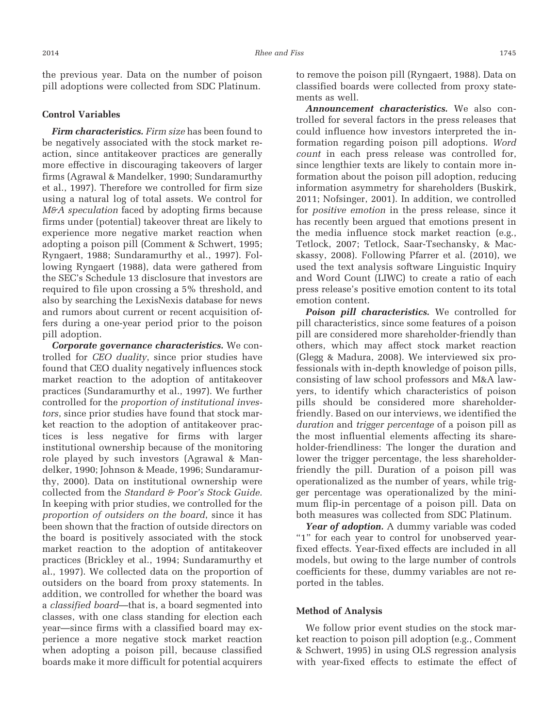the previous year. Data on the number of poison pill adoptions were collected from SDC Platinum.

# **Control Variables**

*Firm characteristics. Firm size* has been found to be negatively associated with the stock market reaction, since antitakeover practices are generally more effective in discouraging takeovers of larger firms (Agrawal & Mandelker, 1990; Sundaramurthy et al., 1997). Therefore we controlled for firm size using a natural log of total assets. We control for *M&A speculation* faced by adopting firms because firms under (potential) takeover threat are likely to experience more negative market reaction when adopting a poison pill (Comment & Schwert, 1995; Ryngaert, 1988; Sundaramurthy et al., 1997). Following Ryngaert (1988), data were gathered from the SEC's Schedule 13 disclosure that investors are required to file upon crossing a 5% threshold, and also by searching the LexisNexis database for news and rumors about current or recent acquisition offers during a one-year period prior to the poison pill adoption.

*Corporate governance characteristics.* We controlled for *CEO duality*, since prior studies have found that CEO duality negatively influences stock market reaction to the adoption of antitakeover practices (Sundaramurthy et al., 1997). We further controlled for the *proportion of institutional investors*, since prior studies have found that stock market reaction to the adoption of antitakeover practices is less negative for firms with larger institutional ownership because of the monitoring role played by such investors (Agrawal & Mandelker, 1990; Johnson & Meade, 1996; Sundaramurthy, 2000). Data on institutional ownership were collected from the *Standard & Poor's Stock Guide*. In keeping with prior studies, we controlled for the *proportion of outsiders on the board*, since it has been shown that the fraction of outside directors on the board is positively associated with the stock market reaction to the adoption of antitakeover practices (Brickley et al., 1994; Sundaramurthy et al., 1997). We collected data on the proportion of outsiders on the board from proxy statements. In addition, we controlled for whether the board was a *classified board*—that is, a board segmented into classes, with one class standing for election each year—since firms with a classified board may experience a more negative stock market reaction when adopting a poison pill, because classified boards make it more difficult for potential acquirers

to remove the poison pill (Ryngaert, 1988). Data on classified boards were collected from proxy statements as well.

*Announcement characteristics.* We also controlled for several factors in the press releases that could influence how investors interpreted the information regarding poison pill adoptions. *Word count* in each press release was controlled for, since lengthier texts are likely to contain more information about the poison pill adoption, reducing information asymmetry for shareholders (Buskirk, 2011; Nofsinger, 2001). In addition, we controlled for *positive emotion* in the press release, since it has recently been argued that emotions present in the media influence stock market reaction (e.g., Tetlock, 2007; Tetlock, Saar-Tsechansky, & Macskassy, 2008). Following Pfarrer et al. (2010), we used the text analysis software Linguistic Inquiry and Word Count (LIWC) to create a ratio of each press release's positive emotion content to its total emotion content.

*Poison pill characteristics.* We controlled for pill characteristics, since some features of a poison pill are considered more shareholder-friendly than others, which may affect stock market reaction (Glegg & Madura, 2008). We interviewed six professionals with in-depth knowledge of poison pills, consisting of law school professors and M&A lawyers, to identify which characteristics of poison pills should be considered more shareholderfriendly. Based on our interviews, we identified the *duration* and *trigger percentage* of a poison pill as the most influential elements affecting its shareholder-friendliness: The longer the duration and lower the trigger percentage, the less shareholderfriendly the pill. Duration of a poison pill was operationalized as the number of years, while trigger percentage was operationalized by the minimum flip-in percentage of a poison pill. Data on both measures was collected from SDC Platinum.

*Year of adoption.* A dummy variable was coded "1" for each year to control for unobserved yearfixed effects. Year-fixed effects are included in all models, but owing to the large number of controls coefficients for these, dummy variables are not reported in the tables.

#### **Method of Analysis**

We follow prior event studies on the stock market reaction to poison pill adoption (e.g., Comment & Schwert, 1995) in using OLS regression analysis with year-fixed effects to estimate the effect of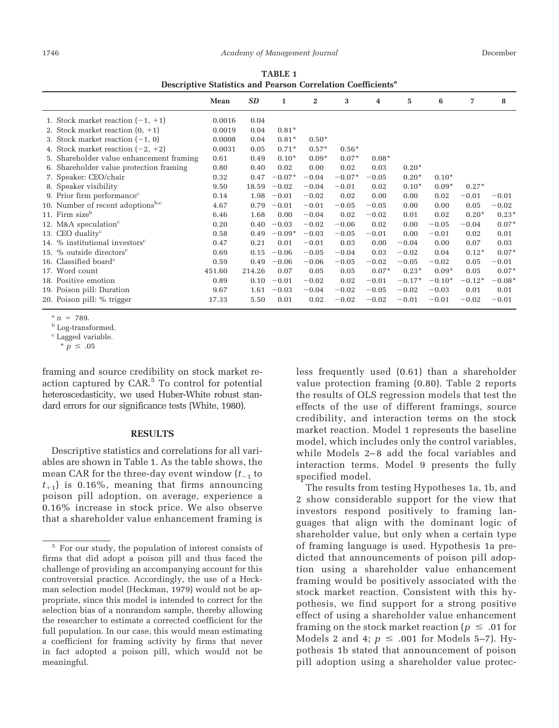| Descriptive Statistics and Pearson Correlation Coefficients |        |           |          |                         |          |         |          |          |          |          |
|-------------------------------------------------------------|--------|-----------|----------|-------------------------|----------|---------|----------|----------|----------|----------|
|                                                             | Mean   | <b>SD</b> | 1        | $\overline{\mathbf{2}}$ | 3        | 4       | 5        | 6        | 7        | 8        |
| 1. Stock market reaction $(-1, +1)$                         | 0.0016 | 0.04      |          |                         |          |         |          |          |          |          |
| 2. Stock market reaction $(0, +1)$                          | 0.0019 | 0.04      | $0.81*$  |                         |          |         |          |          |          |          |
| 3. Stock market reaction $(-1, 0)$                          | 0.0008 | 0.04      | $0.81*$  | $0.50*$                 |          |         |          |          |          |          |
| 4. Stock market reaction $(-2, +2)$                         | 0.0031 | 0.05      | $0.71*$  | $0.57*$                 | $0.56*$  |         |          |          |          |          |
| 5. Shareholder value enhancement framing                    | 0.61   | 0.49      | $0.10*$  | $0.09*$                 | $0.07*$  | $0.08*$ |          |          |          |          |
| 6. Shareholder value protection framing                     | 0.80   | 0.40      | 0.02     | 0.00                    | 0.02     | 0.03    | $0.20*$  |          |          |          |
| 7. Speaker: CEO/chair                                       | 0.32   | 0.47      | $-0.07*$ | $-0.04$                 | $-0.07*$ | $-0.05$ | $0.20*$  | $0.10*$  |          |          |
| 8. Speaker visibility                                       | 9.50   | 18.59     | $-0.02$  | $-0.04$                 | $-0.01$  | 0.02    | $0.10*$  | $0.09*$  | $0.27*$  |          |
| 9. Prior firm performance <sup>c</sup>                      | 0.14   | 1.98      | $-0.01$  | $-0.02$                 | 0.02     | 0.00    | 0.00     | 0.02     | $-0.01$  | $-0.01$  |
| 10. Number of recent adoptions <sup>b,c</sup>               | 4.67   | 0.79      | $-0.01$  | $-0.01$                 | $-0.05$  | $-0.05$ | 0.00     | 0.00     | 0.05     | $-0.02$  |
| 11. Firm size <sup>b</sup>                                  | 6.46   | 1.68      | 0.00     | $-0.04$                 | 0.02     | $-0.02$ | 0.01     | 0.02     | $0.20*$  | $0.23*$  |
| 12. M&A speculation <sup>c</sup>                            | 0.20   | 0.40      | $-0.03$  | $-0.02$                 | $-0.06$  | 0.02    | 0.00     | $-0.05$  | $-0.04$  | $0.07*$  |
| 13. CEO duality $c$                                         | 0.58   | 0.49      | $-0.09*$ | $-0.03$                 | $-0.05$  | $-0.01$ | 0.00     | $-0.01$  | 0.02     | 0.01     |
| 14. $%$ institutional investors <sup>c</sup>                | 0.47   | 0.21      | 0.01     | $-0.01$                 | 0.03     | 0.00    | $-0.04$  | 0.00     | 0.07     | 0.03     |
| 15. % outside directors $c$                                 | 0.69   | 0.15      | $-0.06$  | $-0.05$                 | $-0.04$  | 0.03    | $-0.02$  | 0.04     | $0.12*$  | $0.07*$  |
| 16. Classified board $c$                                    | 0.59   | 0.49      | $-0.06$  | $-0.06$                 | $-0.05$  | $-0.02$ | $-0.05$  | $-0.02$  | 0.05     | $-0.01$  |
| 17. Word count                                              | 451.60 | 214.26    | 0.07     | 0.05                    | 0.05     | $0.07*$ | $0.23*$  | $0.09*$  | 0.05     | $0.07*$  |
| 18. Positive emotion                                        | 0.89   | 0.10      | $-0.01$  | $-0.02$                 | 0.02     | $-0.01$ | $-0.17*$ | $-0.10*$ | $-0.12*$ | $-0.08*$ |
| 19. Poison pill: Duration                                   | 9.67   | 1.61      | $-0.03$  | $-0.04$                 | $-0.02$  | $-0.05$ | $-0.02$  | $-0.03$  | 0.01     | 0.01     |
| 20. Poison pill: % trigger                                  | 17.33  | 5.50      | 0.01     | 0.02                    | $-0.02$  | $-0.02$ | $-0.01$  | $-0.01$  | $-0.02$  | $-0.01$  |

**TABLE 1 Descriptive Statistics and Pearson Correlation Coefficientsa**

 $n = 789$ .

<sup>c</sup> Lagged variable.

framing and source credibility on stock market reaction captured by CAR.<sup>5</sup> To control for potential heteroscedasticity, we used Huber-White robust standard errors for our significance tests (White, 1980).

#### **RESULTS**

Descriptive statistics and correlations for all variables are shown in Table 1. As the table shows, the mean CAR for the three-day event window  $(t_{-1}$  to  $t_{+1}$ ) is 0.16%, meaning that firms announcing poison pill adoption, on average, experience a 0.16% increase in stock price. We also observe that a shareholder value enhancement framing is

less frequently used (0.61) than a shareholder value protection framing (0.80). Table 2 reports the results of OLS regression models that test the effects of the use of different framings, source credibility, and interaction terms on the stock market reaction. Model 1 represents the baseline model, which includes only the control variables, while Models 2–8 add the focal variables and interaction terms. Model 9 presents the fully specified model.

The results from testing Hypotheses 1a, 1b, and 2 show considerable support for the view that investors respond positively to framing languages that align with the dominant logic of shareholder value, but only when a certain type of framing language is used. Hypothesis 1a predicted that announcements of poison pill adoption using a shareholder value enhancement framing would be positively associated with the stock market reaction. Consistent with this hypothesis, we find support for a strong positive effect of using a shareholder value enhancement framing on the stock market reaction ( $p \leq .01$  for Models 2 and 4;  $p \leq .001$  for Models 5-7). Hypothesis 1b stated that announcement of poison pill adoption using a shareholder value protec-

<sup>b</sup> Log-transformed.

 $*$   $p \leq .05$ 

<sup>&</sup>lt;sup>5</sup> For our study, the population of interest consists of firms that did adopt a poison pill and thus faced the challenge of providing an accompanying account for this controversial practice. Accordingly, the use of a Heckman selection model (Heckman, 1979) would not be appropriate, since this model is intended to correct for the selection bias of a nonrandom sample, thereby allowing the researcher to estimate a corrected coefficient for the full population. In our case, this would mean estimating a coefficient for framing activity by firms that never in fact adopted a poison pill, which would not be meaningful.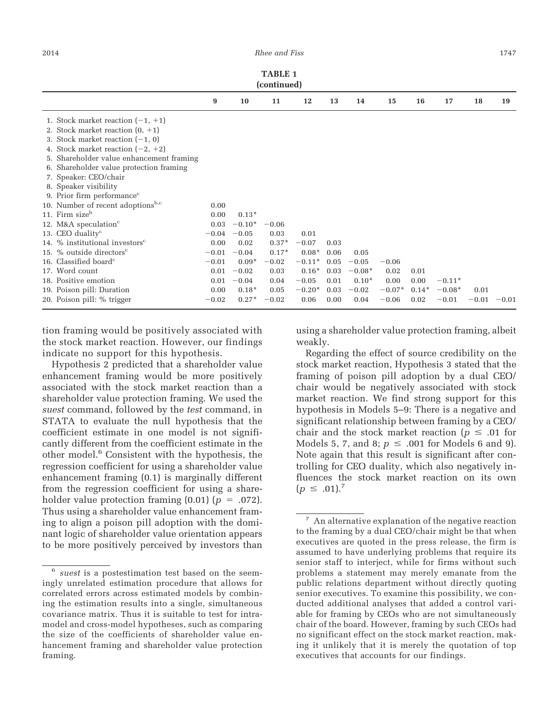|                                                                                                                                                                                                                                                                                                 |                                                               |                                                                        | <b>TABLE 1</b><br>(continued)                                    |                                                                          |                                                      |                                                           |                                                |                                 |                                 |                 |         |
|-------------------------------------------------------------------------------------------------------------------------------------------------------------------------------------------------------------------------------------------------------------------------------------------------|---------------------------------------------------------------|------------------------------------------------------------------------|------------------------------------------------------------------|--------------------------------------------------------------------------|------------------------------------------------------|-----------------------------------------------------------|------------------------------------------------|---------------------------------|---------------------------------|-----------------|---------|
|                                                                                                                                                                                                                                                                                                 | 9                                                             | 10                                                                     | 11                                                               | 12                                                                       | 13                                                   | 14                                                        | 15                                             | 16                              | 17                              | 18              | 19      |
| 1. Stock market reaction $(-1, +1)$<br>2. Stock market reaction $(0, +1)$<br>3. Stock market reaction $(-1, 0)$<br>4. Stock market reaction $(-2, +2)$<br>5. Shareholder value enhancement framing<br>6. Shareholder value protection framing<br>7. Speaker: CEO/chair<br>8. Speaker visibility |                                                               |                                                                        |                                                                  |                                                                          |                                                      |                                                           |                                                |                                 |                                 |                 |         |
| 9. Prior firm performance <sup>c</sup><br>10. Number of recent adoptions <sup>b,c</sup><br>11. Firm size <sup>b</sup><br>12. M&A speculation <sup>c</sup><br>13. CEO duality $c$                                                                                                                | 0.00<br>0.00<br>0.03<br>$-0.04$                               | $0.13*$<br>$-0.10*$<br>$-0.05$                                         | $-0.06$<br>0.03                                                  | 0.01                                                                     |                                                      |                                                           |                                                |                                 |                                 |                 |         |
| 14. % institutional investors <sup>c</sup><br>15. % outside directors $c$<br>16. Classified board $c$<br>17. Word count<br>18. Positive emotion<br>19. Poison pill: Duration<br>20. Poison pill: % trigger                                                                                      | 0.00<br>$-0.01$<br>$-0.01$<br>0.01<br>0.01<br>0.00<br>$-0.02$ | 0.02<br>$-0.04$<br>$0.09*$<br>$-0.02$<br>$-0.04$<br>$0.18*$<br>$0.27*$ | $0.37*$<br>$0.17*$<br>$-0.02$<br>0.03<br>0.04<br>0.05<br>$-0.02$ | $-0.07$<br>$0.08*$<br>$-0.11*$<br>$0.16*$<br>$-0.05$<br>$-0.20*$<br>0.06 | 0.03<br>0.06<br>0.05<br>0.03<br>0.01<br>0.03<br>0.00 | 0.05<br>$-0.05$<br>$-0.08*$<br>$0.10*$<br>$-0.02$<br>0.04 | $-0.06$<br>0.02<br>0.00<br>$-0.07*$<br>$-0.06$ | 0.01<br>0.00<br>$0.14*$<br>0.02 | $-0.11*$<br>$-0.08*$<br>$-0.01$ | 0.01<br>$-0.01$ | $-0.01$ |

tion framing would be positively associated with the stock market reaction. However, our findings indicate no support for this hypothesis.

Hypothesis 2 predicted that a shareholder value enhancement framing would be more positively associated with the stock market reaction than a shareholder value protection framing. We used the *suest* command, followed by the *test* command, in STATA to evaluate the null hypothesis that the coefficient estimate in one model is not significantly different from the coefficient estimate in the other model.6 Consistent with the hypothesis, the regression coefficient for using a shareholder value enhancement framing (0.1) is marginally different from the regression coefficient for using a shareholder value protection framing  $(0.01)$   $(p = .072)$ . Thus using a shareholder value enhancement framing to align a poison pill adoption with the dominant logic of shareholder value orientation appears to be more positively perceived by investors than

using a shareholder value protection framing, albeit weakly.

Regarding the effect of source credibility on the stock market reaction, Hypothesis 3 stated that the framing of poison pill adoption by a dual CEO/ chair would be negatively associated with stock market reaction. We find strong support for this hypothesis in Models 5–9: There is a negative and significant relationship between framing by a CEO/ chair and the stock market reaction ( $p \leq .01$  for Models 5, 7, and 8;  $p \leq .001$  for Models 6 and 9). Note again that this result is significant after controlling for CEO duality, which also negatively influences the stock market reaction on its own  $(p \le .01)^7$ 

<sup>6</sup> *suest* is a postestimation test based on the seemingly unrelated estimation procedure that allows for correlated errors across estimated models by combining the estimation results into a single, simultaneous covariance matrix. Thus it is suitable to test for intramodel and cross-model hypotheses, such as comparing the size of the coefficients of shareholder value enhancement framing and shareholder value protection framing.

<sup>7</sup> An alternative explanation of the negative reaction to the framing by a dual CEO/chair might be that when executives are quoted in the press release, the firm is assumed to have underlying problems that require its senior staff to interject, while for firms without such problems a statement may merely emanate from the public relations department without directly quoting senior executives. To examine this possibility, we conducted additional analyses that added a control variable for framing by CEOs who are not simultaneously chair of the board. However, framing by such CEOs had no significant effect on the stock market reaction, making it unlikely that it is merely the quotation of top executives that accounts for our findings.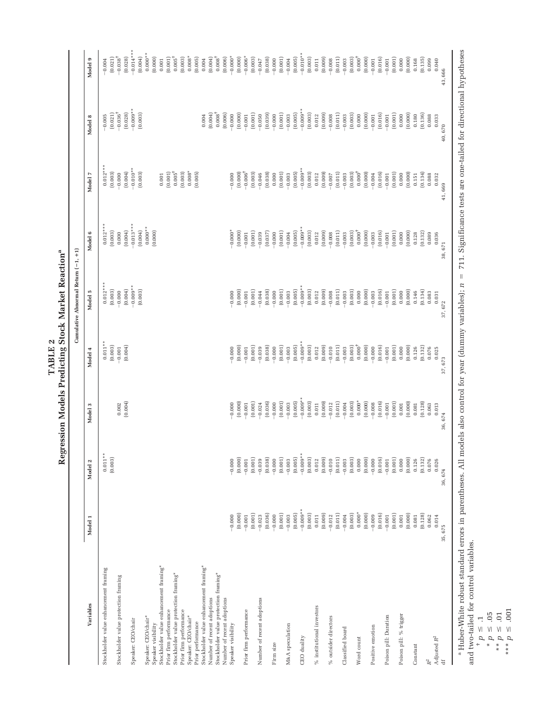|                                                                 |                                                                       |                                                                                                                                                                                                                                                                                                                                                                                                                                                                                                           |                     | TABLE <sub>2</sub>  | Regression Models Predicting Stock Market Reaction <sup>ª</sup> |                      |                      |                       |                         |
|-----------------------------------------------------------------|-----------------------------------------------------------------------|-----------------------------------------------------------------------------------------------------------------------------------------------------------------------------------------------------------------------------------------------------------------------------------------------------------------------------------------------------------------------------------------------------------------------------------------------------------------------------------------------------------|---------------------|---------------------|-----------------------------------------------------------------|----------------------|----------------------|-----------------------|-------------------------|
|                                                                 |                                                                       |                                                                                                                                                                                                                                                                                                                                                                                                                                                                                                           |                     |                     | Cumulative Abnormal Return (-1, +1)                             |                      |                      |                       |                         |
| Variables                                                       | Model 1                                                               | Model 2                                                                                                                                                                                                                                                                                                                                                                                                                                                                                                   | Model 3             | Model 4             | Model 5                                                         | Model 6              | Model 7              | Model 8               | Model 9                 |
| Stockholder value enhancement framing                           |                                                                       | $0.011**$<br>(0.003)                                                                                                                                                                                                                                                                                                                                                                                                                                                                                      |                     | $0.011**$           | $0.012***$                                                      | $0.012***$           | $0.012***$           | $-0.005$              | $-0.004$                |
| Stockholder value protection framing                            |                                                                       |                                                                                                                                                                                                                                                                                                                                                                                                                                                                                                           | 0.002               | (0.003)<br>$-0.001$ | (0.003)<br>$-0.000$                                             | (0.003)<br>0.000     | (0.003)<br>$-0.000$  | $-0.036^+$<br>(0.021) | $-0.038^{+}$<br>(0.021) |
|                                                                 |                                                                       |                                                                                                                                                                                                                                                                                                                                                                                                                                                                                                           | (0.004)             | (0.004)             | (0.004)                                                         | (0.004)              | (0.004)              | (0.028)               | (0.028)                 |
| Speaker: CEO/chair                                              |                                                                       |                                                                                                                                                                                                                                                                                                                                                                                                                                                                                                           |                     |                     | $-0.009**$                                                      | $-0.013***$          | $-0.010**$           | $-0.009**$            | $-0.014***$             |
| Speaker: CEO/chair*                                             |                                                                       |                                                                                                                                                                                                                                                                                                                                                                                                                                                                                                           |                     |                     | (0.003)                                                         | $0.000**$<br>(0.004) | (0.003)              | (0.003)               | $0.000**$<br>(0.004)    |
| Speaker visibility                                              |                                                                       |                                                                                                                                                                                                                                                                                                                                                                                                                                                                                                           |                     |                     |                                                                 | (0.000)              |                      |                       | (0.000)                 |
| Stockholder value enhancement framing*                          |                                                                       |                                                                                                                                                                                                                                                                                                                                                                                                                                                                                                           |                     |                     |                                                                 |                      | 0.001                |                       | 0.001                   |
| Prior firm performance                                          |                                                                       |                                                                                                                                                                                                                                                                                                                                                                                                                                                                                                           |                     |                     |                                                                 |                      | (0.001)              |                       | (0.001)                 |
| Stockholder value protection framing*<br>Prior firm performance |                                                                       |                                                                                                                                                                                                                                                                                                                                                                                                                                                                                                           |                     |                     |                                                                 |                      | $0.005^+$<br>(0.003) |                       | $0.005^+$<br>(0.003)    |
| Speaker: CEO/chair*                                             |                                                                       |                                                                                                                                                                                                                                                                                                                                                                                                                                                                                                           |                     |                     |                                                                 |                      | $0.008*$             |                       | $0.008*$                |
| Prior performance                                               |                                                                       |                                                                                                                                                                                                                                                                                                                                                                                                                                                                                                           |                     |                     |                                                                 |                      | (0.005)              |                       | (0.005)                 |
| Stockholder value enhancement framing*                          |                                                                       |                                                                                                                                                                                                                                                                                                                                                                                                                                                                                                           |                     |                     |                                                                 |                      |                      | 0.004                 | 0.004                   |
| Number of recent adoptions                                      |                                                                       |                                                                                                                                                                                                                                                                                                                                                                                                                                                                                                           |                     |                     |                                                                 |                      |                      | (0.004)               | (0.004)                 |
| Stockholder value protection framing*                           |                                                                       |                                                                                                                                                                                                                                                                                                                                                                                                                                                                                                           |                     |                     |                                                                 |                      |                      | $0.008^\dagger$       | $0.008^+$               |
| Number of recent adoptions                                      |                                                                       | 000                                                                                                                                                                                                                                                                                                                                                                                                                                                                                                       |                     | $-0.000$            |                                                                 | $-0.000*$            | $-0.000$             | (0.006)               | (0.006)                 |
| Speaker visibility                                              | (0.000)<br>$-0.000$                                                   | (0.000)                                                                                                                                                                                                                                                                                                                                                                                                                                                                                                   | (0.000)<br>$-0.000$ | (0.000)             | (0.000)<br>$-0.000$                                             | (0.000)              | (0.000)              | (0.000)<br>$-0.000$   | $-0.000*$<br>(0.000)    |
| Prior firm performance                                          | $-0.001$                                                              |                                                                                                                                                                                                                                                                                                                                                                                                                                                                                                           | $-0.001$            | $-0.001$            | $-0.001$                                                        | $-0.001$             | $-0.006^+$           | $-0.001$              | $-0.006*$               |
|                                                                 | (0.001)                                                               |                                                                                                                                                                                                                                                                                                                                                                                                                                                                                                           | (0.001)             | (0.001)             | (0.001)                                                         | (0.001)              | (0.003)              | (0.001)               | (0.003)                 |
| Number of recent adoptions                                      | $-0.023$                                                              |                                                                                                                                                                                                                                                                                                                                                                                                                                                                                                           | $-0.024$            | $-0.039$            | $-0.044$                                                        | $-0.039$             | $-0.046$             | $-0.050$              | $-0.047$                |
|                                                                 |                                                                       |                                                                                                                                                                                                                                                                                                                                                                                                                                                                                                           | (0.036)             | (0.038)             | (0.038)                                                         | (0.037)              | (0.038)              | (0.039)               | (0.038)                 |
| Firm size                                                       | $\begin{array}{c} (0.036) \\ -0.000 \\ (0.001) \\ -0.003 \end{array}$ |                                                                                                                                                                                                                                                                                                                                                                                                                                                                                                           | $-0.000$            | $-0.000$            | $-0.000$                                                        | $-0.000$             | 0.000                | $-0.000$              | $-0.000$                |
|                                                                 |                                                                       |                                                                                                                                                                                                                                                                                                                                                                                                                                                                                                           | (0.001)             | (0.001)             | $\left( 0.001\right)$                                           | (0.001)              | (0.001)              | $\left( 0.001\right)$ | (0.001)                 |
| M&A speculation                                                 | (0.005)                                                               |                                                                                                                                                                                                                                                                                                                                                                                                                                                                                                           | (0.005)<br>$-0.003$ | (0.005)<br>$-0.003$ | (0.005)<br>$-0.003$                                             | (0.005)<br>$-0.004$  | (0.005)<br>$-0.003$  | (0.005)<br>$-0.003$   | (0.005)<br>$-0.004$     |
| CEO duality                                                     | $-0.009**$                                                            |                                                                                                                                                                                                                                                                                                                                                                                                                                                                                                           | $-0.009**$          | $-0.009**$          | $-0.009**$                                                      | $-0.009**$           | $-0.009**$           | $-0.009**$            | $-0.010**$              |
|                                                                 | (0.003)                                                               |                                                                                                                                                                                                                                                                                                                                                                                                                                                                                                           | (0.003)             | (0.003)             | (0.003)                                                         | (0.003)              | (0.003)              | (0.003)               | (0.003)                 |
| $\%$ institutional investors                                    | $\,0.011$                                                             |                                                                                                                                                                                                                                                                                                                                                                                                                                                                                                           | 0.011               | 0.012               | 0.012                                                           | 0.012                | 0.012                | 0.012                 | 0.011                   |
|                                                                 | (0.009)                                                               |                                                                                                                                                                                                                                                                                                                                                                                                                                                                                                           | (0.009)             | (0.009)             | (0.009)                                                         | (0.009)              | (0.009)              | (0.009)               | (0.009)                 |
| $\%$ outsider directors                                         | $-0.012$                                                              | $\begin{array}{l} \begin{array}{l} \multicolumn{1}{l}{{\small 0}}\\ \multicolumn{1}{l}{\small 0}\\ \multicolumn{1}{l}{\small 0}\\ \multicolumn{1}{l}{\small 0}\\ \multicolumn{1}{l}{\small 0}\\ \multicolumn{1}{l}{\small 0}\\ \multicolumn{1}{l}{\small 0}\\ \multicolumn{1}{l}{\small 0}\\ \multicolumn{1}{l}{\small 0}\\ \multicolumn{1}{l}{\small 0}\\ \multicolumn{1}{l}{\small 0}\\ \multicolumn{1}{l}{\small 0}\\ \multicolumn{1}{l}{\small 0}\\ \multicolumn{1}{l}{\small 0}\\ \multicolumn{1}{l$ | $-0.012$            | $-0.010$            | $-0.008$                                                        | $-0.008$             | $-0.007$             | $-0.008$              | $-0.008$                |
| Classified board                                                | $\begin{array}{c} \text{(0.011)} \\ \text{-0.004} \end{array}$        |                                                                                                                                                                                                                                                                                                                                                                                                                                                                                                           | (0.011)<br>$-0.004$ | (0.011)<br>$-0.003$ | (0.011)<br>$-0.003$                                             | (0.011)<br>$-0.003$  | (0.011)<br>$-0.003$  | (0.011)<br>$-0.003$   | (0.011)<br>$-0.003$     |
|                                                                 | (0.003)                                                               |                                                                                                                                                                                                                                                                                                                                                                                                                                                                                                           | (0.003)             | (0.003)             | (0.003)                                                         | (0.003)              | (0.003)              | (0.003)               | (0.003)                 |
| Word count                                                      | $0.000*$                                                              |                                                                                                                                                                                                                                                                                                                                                                                                                                                                                                           | $0.000*$            | $0.000^{+}$         | $_{0.000}$                                                      | $0.000^{+}$          | $0.000^\dagger$      | 0.000                 | $0.000^{+}$             |
|                                                                 | (0.000)                                                               |                                                                                                                                                                                                                                                                                                                                                                                                                                                                                                           | (0.000)             | (0.000)             | (0.000)                                                         | (0.000)              | (0.000)              | (0.000)               | (0.000)                 |
| Positive emotion                                                | $-0.009$                                                              |                                                                                                                                                                                                                                                                                                                                                                                                                                                                                                           | $-0.008$            | $-0.000$            | $-0.003$                                                        | $-0.003$             | $-0.004$             | $-0.001$              | $-0.001$                |
|                                                                 | (0.016)                                                               |                                                                                                                                                                                                                                                                                                                                                                                                                                                                                                           | (0.016)             | (0.016)             | (0.016)                                                         | (0.016)              | (0.016)              | (0.016)               | (0.016)                 |
| Poison pill: Duration                                           | (0.001)<br>$-0.001$                                                   |                                                                                                                                                                                                                                                                                                                                                                                                                                                                                                           | (0.001)<br>$-0.001$ | (0.001)<br>$-0.001$ | (0.001)<br>$-0.001$                                             | (0.001)<br>$-0.001$  | (0.001)<br>$-0.001$  | (0.001)<br>$-0.001$   | (0.001)<br>$-0.001$     |
| Poison pill: % trigger                                          | $\,0.001$                                                             |                                                                                                                                                                                                                                                                                                                                                                                                                                                                                                           | 0.001               | 0.000               | 0.000                                                           | 0.000                | 0.000                | 0.000                 | 0.000                   |
|                                                                 | (0.000)                                                               |                                                                                                                                                                                                                                                                                                                                                                                                                                                                                                           | (0.000)             | (0.000)             | (0.000)                                                         | (0.000)              | (0.000)              | (0.000)               | (0.000)                 |
| Constant                                                        | $\!0.081$                                                             |                                                                                                                                                                                                                                                                                                                                                                                                                                                                                                           | 0.081               | 0.126               | 0.146                                                           | 0.128                | 0.151                | 0.180                 | 0.168                   |
|                                                                 | (0.128)                                                               | $\begin{array}{c} 0.126 \\ 0.132 \end{array}$                                                                                                                                                                                                                                                                                                                                                                                                                                                             | (0.128)             | (0.132)             | (0.134)                                                         | (0.132)              | (0.134)              | (0.136)               | (0.135)                 |
|                                                                 | 0.062                                                                 | 076<br>$\circ$                                                                                                                                                                                                                                                                                                                                                                                                                                                                                            | 0.063               | 0.076               | 0.083                                                           | 0.089                | 0.088                | 0.088                 | 0.099                   |
| Adjusted $R^2$ of                                               | 0.014                                                                 | 0.026                                                                                                                                                                                                                                                                                                                                                                                                                                                                                                     | 0.013               | 0.025               | 0.031                                                           | 0.036                | 0.032                | 0.033                 | 0.040                   |
|                                                                 | 35,675                                                                | 36,674                                                                                                                                                                                                                                                                                                                                                                                                                                                                                                    | 36,674              | 37,673              | 37,672                                                          | 38,671               | 41,669               | 40,670                | 43,666                  |

 Huber-White robust standard errors in parentheses. All models also control for year (dummy variables); *n* - 711. Significance tests are one-tailed for directional hypotheses and two-tailed for control variables.

 $p = 1$ <br>\*  $p = 1$ 

 $p = 0.5$ 

 $p \geq 01$ 

 $p \geq 0.001$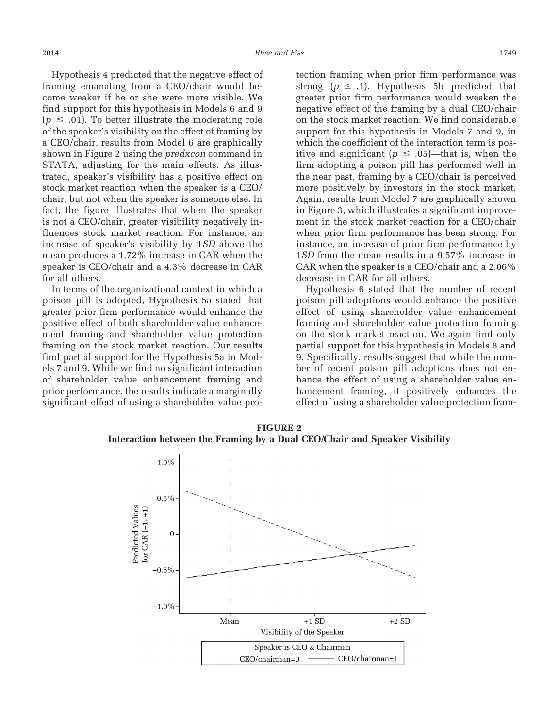Hypothesis 4 predicted that the negative effect of framing emanating from a CEO/chair would become weaker if he or she were more visible. We find support for this hypothesis in Models 6 and 9  $(p \leq .01)$ . To better illustrate the moderating role of the speaker's visibility on the effect of framing by a CEO/chair, results from Model 6 are graphically shown in Figure 2 using the *predxcon* command in STATA, adjusting for the main effects. As illustrated, speaker's visibility has a positive effect on stock market reaction when the speaker is a CEO/ chair, but not when the speaker is someone else. In fact, the figure illustrates that when the speaker is not a CEO/chair, greater visibility negatively influences stock market reaction. For instance, an increase of speaker's visibility by 1*SD* above the mean produces a 1.72% increase in CAR when the speaker is CEO/chair and a 4.3% decrease in CAR for all others.

In terms of the organizational context in which a poison pill is adopted, Hypothesis 5a stated that greater prior firm performance would enhance the positive effect of both shareholder value enhancement framing and shareholder value protection framing on the stock market reaction. Our results find partial support for the Hypothesis 5a in Models 7 and 9. While we find no significant interaction of shareholder value enhancement framing and prior performance, the results indicate a marginally significant effect of using a shareholder value protection framing when prior firm performance was strong ( $p \leq .1$ ). Hypothesis 5b predicted that greater prior firm performance would weaken the negative effect of the framing by a dual CEO/chair on the stock market reaction. We find considerable support for this hypothesis in Models 7 and 9, in which the coefficient of the interaction term is positive and significant ( $p \le .05$ )—that is, when the firm adopting a poison pill has performed well in the near past, framing by a CEO/chair is perceived more positively by investors in the stock market. Again, results from Model 7 are graphically shown in Figure 3, which illustrates a significant improvement in the stock market reaction for a CEO/chair when prior firm performance has been strong. For instance, an increase of prior firm performance by 1*SD* from the mean results in a 9.57% increase in CAR when the speaker is a CEO/chair and a 2.06% decrease in CAR for all others.

Hypothesis 6 stated that the number of recent poison pill adoptions would enhance the positive effect of using shareholder value enhancement framing and shareholder value protection framing on the stock market reaction. We again find only partial support for this hypothesis in Models 8 and 9. Specifically, results suggest that while the number of recent poison pill adoptions does not enhance the effect of using a shareholder value enhancement framing, it positively enhances the effect of using a shareholder value protection fram-



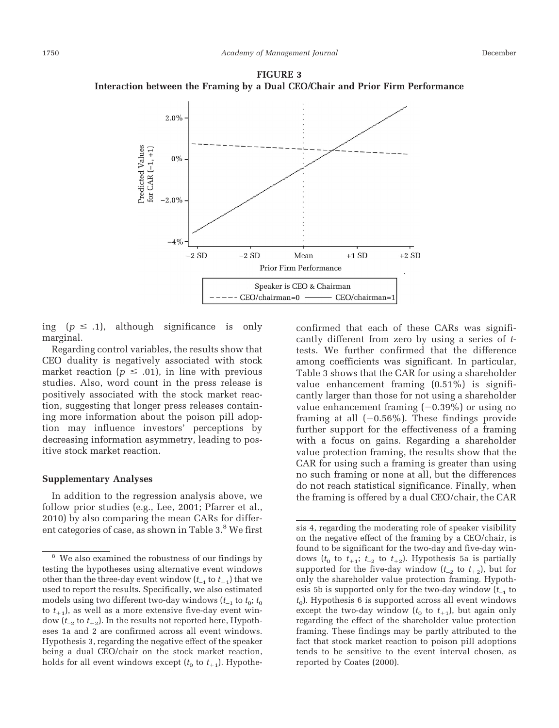**FIGURE 3 Interaction between the Framing by a Dual CEO/Chair and Prior Firm Performance**



ing  $(p \leq .1)$ , although significance is only marginal.

Regarding control variables, the results show that CEO duality is negatively associated with stock market reaction ( $p \leq .01$ ), in line with previous studies. Also, word count in the press release is positively associated with the stock market reaction, suggesting that longer press releases containing more information about the poison pill adoption may influence investors' perceptions by decreasing information asymmetry, leading to positive stock market reaction.

#### **Supplementary Analyses**

In addition to the regression analysis above, we follow prior studies (e.g., Lee, 2001; Pfarrer et al., 2010) by also comparing the mean CARs for different categories of case, as shown in Table 3.<sup>8</sup> We first confirmed that each of these CARs was significantly different from zero by using a series of *t*tests. We further confirmed that the difference among coefficients was significant. In particular, Table 3 shows that the CAR for using a shareholder value enhancement framing (0.51%) is significantly larger than those for not using a shareholder value enhancement framing  $(-0.39\%)$  or using no framing at all  $(-0.56\%)$ . These findings provide further support for the effectiveness of a framing with a focus on gains. Regarding a shareholder value protection framing, the results show that the CAR for using such a framing is greater than using no such framing or none at all, but the differences do not reach statistical significance. Finally, when the framing is offered by a dual CEO/chair, the CAR

sis 4, regarding the moderating role of speaker visibility on the negative effect of the framing by a CEO/chair, is found to be significant for the two-day and five-day windows ( $t_0$  to  $t_{+1}$ ;  $t_{-2}$  to  $t_{+2}$ ). Hypothesis 5a is partially supported for the five-day window  $(t_{-2}$  to  $t_{+2}$ ), but for only the shareholder value protection framing. Hypothesis 5b is supported only for the two-day window  $(t_{-1}$  to  $t<sub>0</sub>$ ). Hypothesis 6 is supported across all event windows except the two-day window  $(t_0$  to  $t_{+1}$ ), but again only regarding the effect of the shareholder value protection framing. These findings may be partly attributed to the fact that stock market reaction to poison pill adoptions tends to be sensitive to the event interval chosen, as reported by Coates (2000).

<sup>&</sup>lt;sup>8</sup> We also examined the robustness of our findings by testing the hypotheses using alternative event windows other than the three-day event window  $(t_{-1}$  to  $t_{+1})$  that we used to report the results. Specifically, we also estimated models using two different two-day windows  $(t_{-1}$  to  $t_0$ ;  $t_0$ to  $t_{+1}$ ), as well as a more extensive five-day event window  $(t_{-2}$  to  $t_{+2}$ ). In the results not reported here, Hypotheses 1a and 2 are confirmed across all event windows. Hypothesis 3, regarding the negative effect of the speaker being a dual CEO/chair on the stock market reaction, holds for all event windows except  $(t_0$  to  $t_{+1}$ ). Hypothe-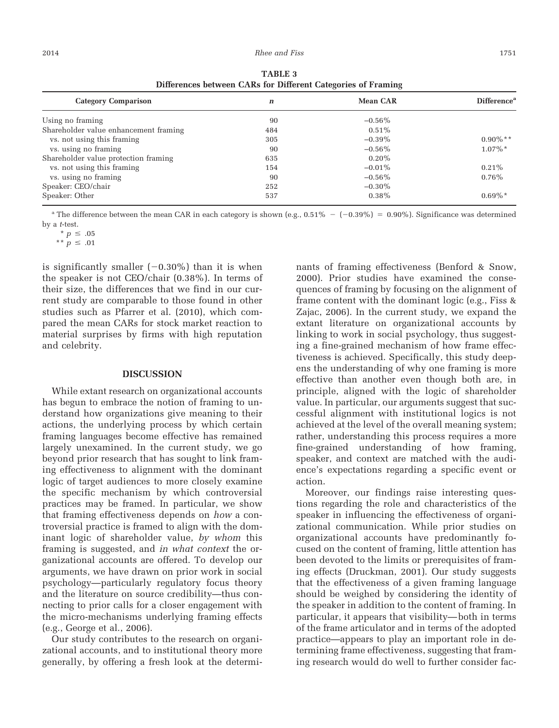| <b>Category Comparison</b>            | n   | <b>Mean CAR</b> | Difference <sup>a</sup> |
|---------------------------------------|-----|-----------------|-------------------------|
| Using no framing                      | 90  | $-0.56\%$       |                         |
| Shareholder value enhancement framing | 484 | $0.51\%$        |                         |
| vs. not using this framing            | 305 | $-0.39\%$       | $0.90\%$ **             |
| vs. using no framing                  | 90  | $-0.56\%$       | $1.07\%$ <sup>*</sup>   |
| Shareholder value protection framing  | 635 | $0.20\%$        |                         |
| vs. not using this framing            | 154 | $-0.01\%$       | $0.21\%$                |
| vs. using no framing                  | 90  | $-0.56\%$       | $0.76\%$                |
| Speaker: CEO/chair                    | 252 | $-0.30\%$       |                         |
| Speaker: Other                        | 537 | $0.38\%$        | $0.69\%*$               |

**TABLE 3 Differences between CARs for Different Categories of Framing**

<sup>a</sup> The difference between the mean CAR in each category is shown (e.g.,  $0.51\% - (-0.39\%) = 0.90\%$ ). Significance was determined by a *t*-test.

\*\*  $p \le .01$ 

is significantly smaller  $(-0.30\%)$  than it is when the speaker is not CEO/chair (0.38%). In terms of their size, the differences that we find in our current study are comparable to those found in other studies such as Pfarrer et al. (2010), which compared the mean CARs for stock market reaction to material surprises by firms with high reputation and celebrity.

#### **DISCUSSION**

While extant research on organizational accounts has begun to embrace the notion of framing to understand how organizations give meaning to their actions, the underlying process by which certain framing languages become effective has remained largely unexamined. In the current study, we go beyond prior research that has sought to link framing effectiveness to alignment with the dominant logic of target audiences to more closely examine the specific mechanism by which controversial practices may be framed. In particular, we show that framing effectiveness depends on *how* a controversial practice is framed to align with the dominant logic of shareholder value, *by whom* this framing is suggested, and *in what context* the organizational accounts are offered. To develop our arguments, we have drawn on prior work in social psychology—particularly regulatory focus theory and the literature on source credibility—thus connecting to prior calls for a closer engagement with the micro-mechanisms underlying framing effects (e.g., George et al., 2006).

Our study contributes to the research on organizational accounts, and to institutional theory more generally, by offering a fresh look at the determinants of framing effectiveness (Benford & Snow, 2000). Prior studies have examined the consequences of framing by focusing on the alignment of frame content with the dominant logic (e.g., Fiss & Zajac, 2006). In the current study, we expand the extant literature on organizational accounts by linking to work in social psychology, thus suggesting a fine-grained mechanism of how frame effectiveness is achieved. Specifically, this study deepens the understanding of why one framing is more effective than another even though both are, in principle, aligned with the logic of shareholder value. In particular, our arguments suggest that successful alignment with institutional logics is not achieved at the level of the overall meaning system; rather, understanding this process requires a more fine-grained understanding of how framing, speaker, and context are matched with the audience's expectations regarding a specific event or action.

Moreover, our findings raise interesting questions regarding the role and characteristics of the speaker in influencing the effectiveness of organizational communication. While prior studies on organizational accounts have predominantly focused on the content of framing, little attention has been devoted to the limits or prerequisites of framing effects (Druckman, 2001). Our study suggests that the effectiveness of a given framing language should be weighed by considering the identity of the speaker in addition to the content of framing. In particular, it appears that visibility—both in terms of the frame articulator and in terms of the adopted practice—appears to play an important role in determining frame effectiveness, suggesting that framing research would do well to further consider fac-

 $* p \le .05$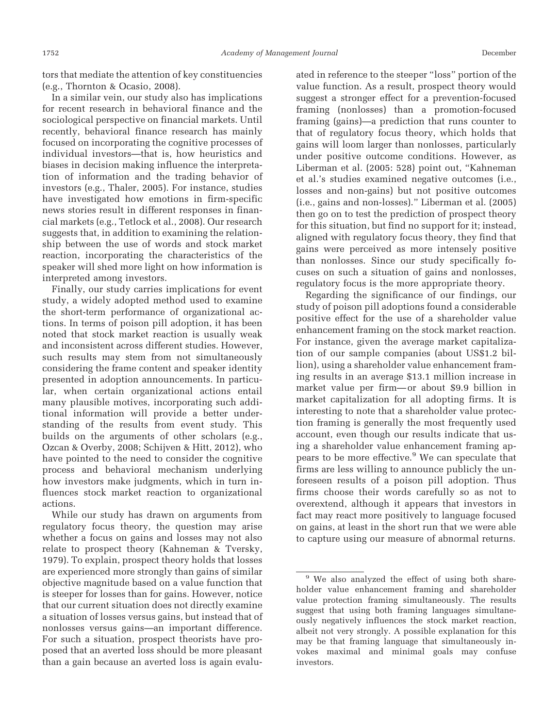tors that mediate the attention of key constituencies (e.g., Thornton & Ocasio, 2008).

In a similar vein, our study also has implications for recent research in behavioral finance and the sociological perspective on financial markets. Until recently, behavioral finance research has mainly focused on incorporating the cognitive processes of individual investors—that is, how heuristics and biases in decision making influence the interpretation of information and the trading behavior of investors (e.g., Thaler, 2005). For instance, studies have investigated how emotions in firm-specific news stories result in different responses in financial markets (e.g., Tetlock et al., 2008). Our research suggests that, in addition to examining the relationship between the use of words and stock market reaction, incorporating the characteristics of the speaker will shed more light on how information is interpreted among investors.

Finally, our study carries implications for event study, a widely adopted method used to examine the short-term performance of organizational actions. In terms of poison pill adoption, it has been noted that stock market reaction is usually weak and inconsistent across different studies. However, such results may stem from not simultaneously considering the frame content and speaker identity presented in adoption announcements. In particular, when certain organizational actions entail many plausible motives, incorporating such additional information will provide a better understanding of the results from event study. This builds on the arguments of other scholars (e.g., Ozcan & Overby, 2008; Schijven & Hitt, 2012), who have pointed to the need to consider the cognitive process and behavioral mechanism underlying how investors make judgments, which in turn influences stock market reaction to organizational actions.

While our study has drawn on arguments from regulatory focus theory, the question may arise whether a focus on gains and losses may not also relate to prospect theory (Kahneman & Tversky, 1979). To explain, prospect theory holds that losses are experienced more strongly than gains of similar objective magnitude based on a value function that is steeper for losses than for gains. However, notice that our current situation does not directly examine a situation of losses versus gains, but instead that of nonlosses versus gains—an important difference. For such a situation, prospect theorists have proposed that an averted loss should be more pleasant than a gain because an averted loss is again evaluated in reference to the steeper "loss" portion of the value function. As a result, prospect theory would suggest a stronger effect for a prevention-focused framing (nonlosses) than a promotion-focused framing (gains)—a prediction that runs counter to that of regulatory focus theory, which holds that gains will loom larger than nonlosses, particularly under positive outcome conditions. However, as Liberman et al. (2005: 528) point out, "Kahneman et al.'s studies examined negative outcomes (i.e., losses and non-gains) but not positive outcomes (i.e., gains and non-losses)." Liberman et al. (2005) then go on to test the prediction of prospect theory for this situation, but find no support for it; instead, aligned with regulatory focus theory, they find that gains were perceived as more intensely positive than nonlosses. Since our study specifically focuses on such a situation of gains and nonlosses, regulatory focus is the more appropriate theory.

Regarding the significance of our findings, our study of poison pill adoptions found a considerable positive effect for the use of a shareholder value enhancement framing on the stock market reaction. For instance, given the average market capitalization of our sample companies (about US\$1.2 billion), using a shareholder value enhancement framing results in an average \$13.1 million increase in market value per firm—or about \$9.9 billion in market capitalization for all adopting firms. It is interesting to note that a shareholder value protection framing is generally the most frequently used account, even though our results indicate that using a shareholder value enhancement framing appears to be more effective.<sup>9</sup> We can speculate that firms are less willing to announce publicly the unforeseen results of a poison pill adoption. Thus firms choose their words carefully so as not to overextend, although it appears that investors in fact may react more positively to language focused on gains, at least in the short run that we were able to capture using our measure of abnormal returns.

<sup>&</sup>lt;sup>9</sup> We also analyzed the effect of using both shareholder value enhancement framing and shareholder value protection framing simultaneously. The results suggest that using both framing languages simultaneously negatively influences the stock market reaction, albeit not very strongly. A possible explanation for this may be that framing language that simultaneously invokes maximal and minimal goals may confuse investors.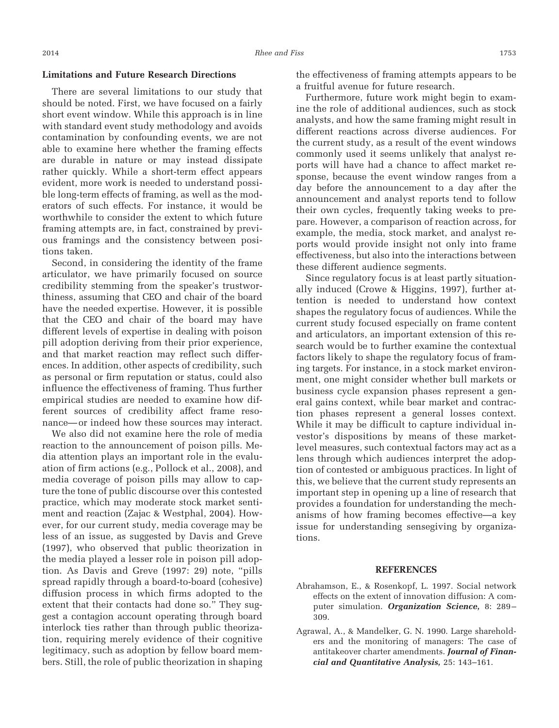#### **Limitations and Future Research Directions**

There are several limitations to our study that should be noted. First, we have focused on a fairly short event window. While this approach is in line with standard event study methodology and avoids contamination by confounding events, we are not able to examine here whether the framing effects are durable in nature or may instead dissipate rather quickly. While a short-term effect appears evident, more work is needed to understand possible long-term effects of framing, as well as the moderators of such effects. For instance, it would be worthwhile to consider the extent to which future framing attempts are, in fact, constrained by previous framings and the consistency between positions taken.

Second, in considering the identity of the frame articulator, we have primarily focused on source credibility stemming from the speaker's trustworthiness, assuming that CEO and chair of the board have the needed expertise. However, it is possible that the CEO and chair of the board may have different levels of expertise in dealing with poison pill adoption deriving from their prior experience, and that market reaction may reflect such differences. In addition, other aspects of credibility, such as personal or firm reputation or status, could also influence the effectiveness of framing. Thus further empirical studies are needed to examine how different sources of credibility affect frame resonance—or indeed how these sources may interact.

We also did not examine here the role of media reaction to the announcement of poison pills. Media attention plays an important role in the evaluation of firm actions (e.g., Pollock et al., 2008), and media coverage of poison pills may allow to capture the tone of public discourse over this contested practice, which may moderate stock market sentiment and reaction (Zajac & Westphal, 2004). However, for our current study, media coverage may be less of an issue, as suggested by Davis and Greve (1997), who observed that public theorization in the media played a lesser role in poison pill adoption. As Davis and Greve (1997: 29) note, "pills spread rapidly through a board-to-board (cohesive) diffusion process in which firms adopted to the extent that their contacts had done so." They suggest a contagion account operating through board interlock ties rather than through public theorization, requiring merely evidence of their cognitive legitimacy, such as adoption by fellow board members. Still, the role of public theorization in shaping

the effectiveness of framing attempts appears to be a fruitful avenue for future research.

Furthermore, future work might begin to examine the role of additional audiences, such as stock analysts, and how the same framing might result in different reactions across diverse audiences. For the current study, as a result of the event windows commonly used it seems unlikely that analyst reports will have had a chance to affect market response, because the event window ranges from a day before the announcement to a day after the announcement and analyst reports tend to follow their own cycles, frequently taking weeks to prepare. However, a comparison of reaction across, for example, the media, stock market, and analyst reports would provide insight not only into frame effectiveness, but also into the interactions between these different audience segments.

Since regulatory focus is at least partly situationally induced (Crowe & Higgins, 1997), further attention is needed to understand how context shapes the regulatory focus of audiences. While the current study focused especially on frame content and articulators, an important extension of this research would be to further examine the contextual factors likely to shape the regulatory focus of framing targets. For instance, in a stock market environment, one might consider whether bull markets or business cycle expansion phases represent a general gains context, while bear market and contraction phases represent a general losses context. While it may be difficult to capture individual investor's dispositions by means of these marketlevel measures, such contextual factors may act as a lens through which audiences interpret the adoption of contested or ambiguous practices. In light of this, we believe that the current study represents an important step in opening up a line of research that provides a foundation for understanding the mechanisms of how framing becomes effective—a key issue for understanding sensegiving by organizations.

#### **REFERENCES**

- Abrahamson, E., & Rosenkopf, L. 1997. Social network effects on the extent of innovation diffusion: A computer simulation. *Organization Science,* 8: 289– 309.
- Agrawal, A., & Mandelker, G. N. 1990. Large shareholders and the monitoring of managers: The case of antitakeover charter amendments. *Journal of Financial and Quantitative Analysis,* 25: 143–161.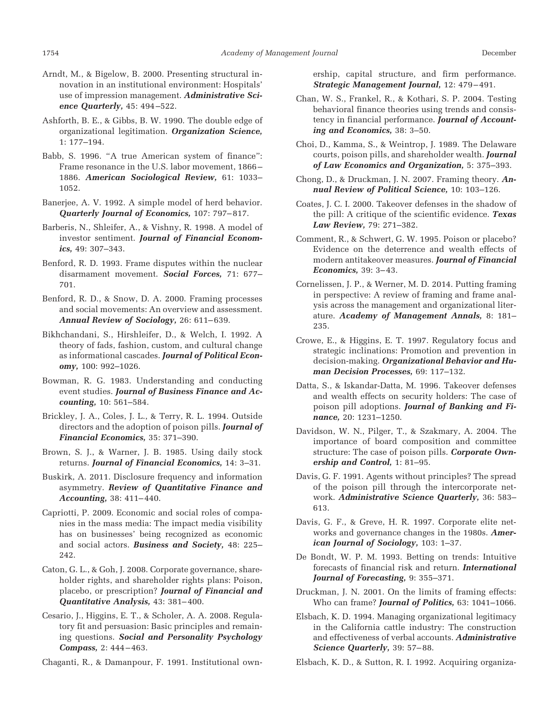- Arndt, M., & Bigelow, B. 2000. Presenting structural innovation in an institutional environment: Hospitals' use of impression management. *Administrative Science Quarterly,* 45: 494–522.
- Ashforth, B. E., & Gibbs, B. W. 1990. The double edge of organizational legitimation. *Organization Science,* 1: 177–194.
- Babb, S. 1996. "A true American system of finance": Frame resonance in the U.S. labor movement, 1866– 1886. *American Sociological Review,* 61: 1033– 1052.
- Banerjee, A. V. 1992. A simple model of herd behavior. *Quarterly Journal of Economics,* 107: 797–817.
- Barberis, N., Shleifer, A., & Vishny, R. 1998. A model of investor sentiment. *Journal of Financial Economics,* 49: 307–343.
- Benford, R. D. 1993. Frame disputes within the nuclear disarmament movement. *Social Forces,* 71: 677– 701.
- Benford, R. D., & Snow, D. A. 2000. Framing processes and social movements: An overview and assessment. *Annual Review of Sociology,* 26: 611–639.
- Bikhchandani, S., Hirshleifer, D., & Welch, I. 1992. A theory of fads, fashion, custom, and cultural change as informational cascades. *Journal of Political Economy,* 100: 992–1026.
- Bowman, R. G. 1983. Understanding and conducting event studies. *Journal of Business Finance and Accounting,* 10: 561–584.
- Brickley, J. A., Coles, J. L., & Terry, R. L. 1994. Outside directors and the adoption of poison pills. *Journal of Financial Economics,* 35: 371–390.
- Brown, S. J., & Warner, J. B. 1985. Using daily stock returns. *Journal of Financial Economics,* 14: 3–31.
- Buskirk, A. 2011. Disclosure frequency and information asymmetry. *Review of Quantitative Finance and Accounting,* 38: 411–440.
- Capriotti, P. 2009. Economic and social roles of companies in the mass media: The impact media visibility has on businesses' being recognized as economic and social actors. *Business and Society,* 48: 225– 242.
- Caton, G. L., & Goh, J. 2008. Corporate governance, shareholder rights, and shareholder rights plans: Poison, placebo, or prescription? *Journal of Financial and Quantitative Analysis,* 43: 381–400.
- Cesario, J., Higgins, E. T., & Scholer, A. A. 2008. Regulatory fit and persuasion: Basic principles and remaining questions. *Social and Personality Psychology Compass,* 2: 444–463.

Chaganti, R., & Damanpour, F. 1991. Institutional own-

ership, capital structure, and firm performance. *Strategic Management Journal,* 12: 479–491.

- Chan, W. S., Frankel, R., & Kothari, S. P. 2004. Testing behavioral finance theories using trends and consistency in financial performance. *Journal of Accounting and Economics,* 38: 3–50.
- Choi, D., Kamma, S., & Weintrop, J. 1989. The Delaware courts, poison pills, and shareholder wealth. *Journal of Law Economics and Organization,* 5: 375–393.
- Chong, D., & Druckman, J. N. 2007. Framing theory. *Annual Review of Political Science,* 10: 103–126.
- Coates, J. C. I. 2000. Takeover defenses in the shadow of the pill: A critique of the scientific evidence. *Texas Law Review,* 79: 271–382.
- Comment, R., & Schwert, G. W. 1995. Poison or placebo? Evidence on the deterrence and wealth effects of modern antitakeover measures. *Journal of Financial Economics,* 39: 3–43.
- Cornelissen, J. P., & Werner, M. D. 2014. Putting framing in perspective: A review of framing and frame analysis across the management and organizational literature. *Academy of Management Annals,* 8: 181– 235.
- Crowe, E., & Higgins, E. T. 1997. Regulatory focus and strategic inclinations: Promotion and prevention in decision-making. *Organizational Behavior and Human Decision Processes,* 69: 117–132.
- Datta, S., & Iskandar-Datta, M. 1996. Takeover defenses and wealth effects on security holders: The case of poison pill adoptions. *Journal of Banking and Finance,* 20: 1231–1250.
- Davidson, W. N., Pilger, T., & Szakmary, A. 2004. The importance of board composition and committee structure: The case of poison pills. *Corporate Ownership and Control,* 1: 81–95.
- Davis, G. F. 1991. Agents without principles? The spread of the poison pill through the intercorporate network. *Administrative Science Quarterly,* 36: 583– 613.
- Davis, G. F., & Greve, H. R. 1997. Corporate elite networks and governance changes in the 1980s. *American Journal of Sociology,* 103: 1–37.
- De Bondt, W. P. M. 1993. Betting on trends: Intuitive forecasts of financial risk and return. *International Journal of Forecasting,* 9: 355–371.
- Druckman, J. N. 2001. On the limits of framing effects: Who can frame? *Journal of Politics,* 63: 1041–1066.
- Elsbach, K. D. 1994. Managing organizational legitimacy in the California cattle industry: The construction and effectiveness of verbal accounts. *Administrative Science Quarterly,* 39: 57–88.
- Elsbach, K. D., & Sutton, R. I. 1992. Acquiring organiza-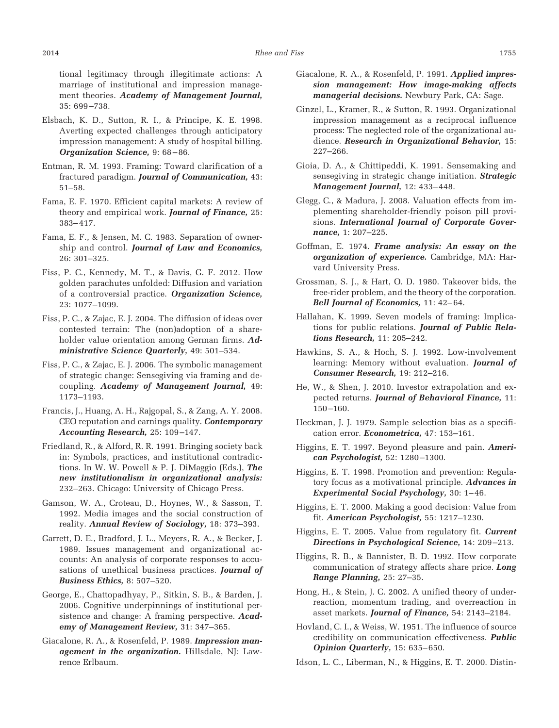tional legitimacy through illegitimate actions: A marriage of institutional and impression management theories. *Academy of Management Journal,* 35: 699–738.

- Elsbach, K. D., Sutton, R. I., & Principe, K. E. 1998. Averting expected challenges through anticipatory impression management: A study of hospital billing. *Organization Science,* 9: 68–86.
- Entman, R. M. 1993. Framing: Toward clarification of a fractured paradigm. *Journal of Communication,* 43: 51–58.
- Fama, E. F. 1970. Efficient capital markets: A review of theory and empirical work. *Journal of Finance,* 25: 383–417.
- Fama, E. F., & Jensen, M. C. 1983. Separation of ownership and control. *Journal of Law and Economics,* 26: 301–325.
- Fiss, P. C., Kennedy, M. T., & Davis, G. F. 2012. How golden parachutes unfolded: Diffusion and variation of a controversial practice. *Organization Science,* 23: 1077–1099.
- Fiss, P. C., & Zajac, E. J. 2004. The diffusion of ideas over contested terrain: The (non)adoption of a shareholder value orientation among German firms. *Administrative Science Quarterly,* 49: 501–534.
- Fiss, P. C., & Zajac, E. J. 2006. The symbolic management of strategic change: Sensegiving via framing and decoupling. *Academy of Management Journal,* 49: 1173–1193.
- Francis, J., Huang, A. H., Rajgopal, S., & Zang, A. Y. 2008. CEO reputation and earnings quality. *Contemporary Accounting Research,* 25: 109–147.
- Friedland, R., & Alford, R. R. 1991. Bringing society back in: Symbols, practices, and institutional contradictions. In W. W. Powell & P. J. DiMaggio (Eds.), *The new institutionalism in organizational analysis:* 232–263. Chicago: University of Chicago Press.
- Gamson, W. A., Croteau, D., Hoynes, W., & Sasson, T. 1992. Media images and the social construction of reality. *Annual Review of Sociology,* 18: 373–393.
- Garrett, D. E., Bradford, J. L., Meyers, R. A., & Becker, J. 1989. Issues management and organizational accounts: An analysis of corporate responses to accusations of unethical business practices. *Journal of Business Ethics,* 8: 507–520.
- George, E., Chattopadhyay, P., Sitkin, S. B., & Barden, J. 2006. Cognitive underpinnings of institutional persistence and change: A framing perspective. *Academy of Management Review,* 31: 347–365.
- Giacalone, R. A., & Rosenfeld, P. 1989. *Impression management in the organization.* Hillsdale, NJ: Lawrence Erlbaum.
- Giacalone, R. A., & Rosenfeld, P. 1991. *Applied impression management: How image-making affects managerial decisions.* Newbury Park, CA: Sage.
- Ginzel, L., Kramer, R., & Sutton, R. 1993. Organizational impression management as a reciprocal influence process: The neglected role of the organizational audience. *Research in Organizational Behavior,* 15: 227–266.
- Gioia, D. A., & Chittipeddi, K. 1991. Sensemaking and sensegiving in strategic change initiation. *Strategic Management Journal,* 12: 433–448.
- Glegg, C., & Madura, J. 2008. Valuation effects from implementing shareholder-friendly poison pill provisions. *International Journal of Corporate Governance,* 1: 207–225.
- Goffman, E. 1974. *Frame analysis: An essay on the organization of experience.* Cambridge, MA: Harvard University Press.
- Grossman, S. J., & Hart, O. D. 1980. Takeover bids, the free-rider problem, and the theory of the corporation. *Bell Journal of Economics,* 11: 42–64.
- Hallahan, K. 1999. Seven models of framing: Implications for public relations. *Journal of Public Relations Research,* 11: 205–242.
- Hawkins, S. A., & Hoch, S. J. 1992. Low-involvement learning: Memory without evaluation. *Journal of Consumer Research,* 19: 212–216.
- He, W., & Shen, J. 2010. Investor extrapolation and expected returns. *Journal of Behavioral Finance,* 11: 150–160.
- Heckman, J. J. 1979. Sample selection bias as a specification error. *Econometrica,* 47: 153–161.
- Higgins, E. T. 1997. Beyond pleasure and pain. *American Psychologist,* 52: 1280–1300.
- Higgins, E. T. 1998. Promotion and prevention: Regulatory focus as a motivational principle. *Advances in Experimental Social Psychology,* 30: 1–46.
- Higgins, E. T. 2000. Making a good decision: Value from fit. *American Psychologist,* 55: 1217–1230.
- Higgins, E. T. 2005. Value from regulatory fit. *Current Directions in Psychological Science,* 14: 209–213.
- Higgins, R. B., & Bannister, B. D. 1992. How corporate communication of strategy affects share price. *Long Range Planning,* 25: 27–35.
- Hong, H., & Stein, J. C. 2002. A unified theory of underreaction, momentum trading, and overreaction in asset markets. *Journal of Finance,* 54: 2143–2184.
- Hovland, C. I., & Weiss, W. 1951. The influence of source credibility on communication effectiveness. *Public Opinion Quarterly,* 15: 635–650.
- Idson, L. C., Liberman, N., & Higgins, E. T. 2000. Distin-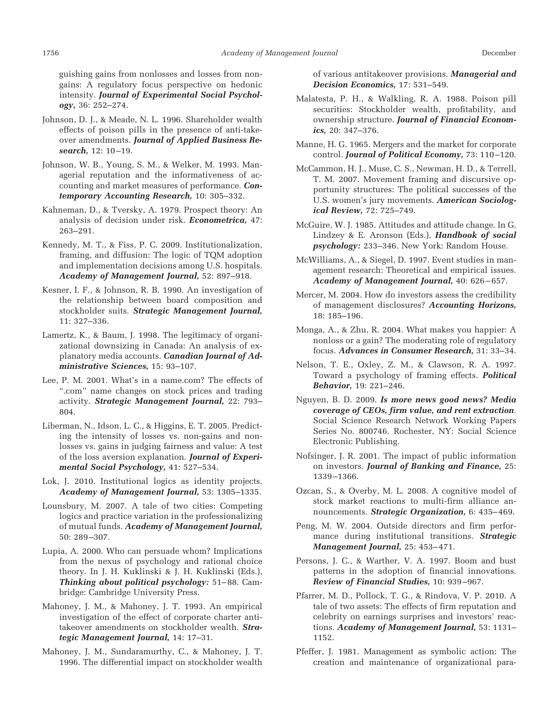guishing gains from nonlosses and losses from nongains: A regulatory focus perspective on hedonic intensity. *Journal of Experimental Social Psychology,* 36: 252–274.

- Johnson, D. J., & Meade, N. L. 1996. Shareholder wealth effects of poison pills in the presence of anti-takeover amendments. *Journal of Applied Business Research,* 12: 10–19.
- Johnson, W. B., Young, S. M., & Welker, M. 1993. Managerial reputation and the informativeness of accounting and market measures of performance. *Contemporary Accounting Research,* 10: 305–332.
- Kahneman, D., & Tversky, A. 1979. Prospect theory: An analysis of decision under risk. *Econometrica,* 47: 263–291.
- Kennedy, M. T., & Fiss, P. C. 2009. Institutionalization, framing, and diffusion: The logic of TQM adoption and implementation decisions among U.S. hospitals. *Academy of Management Journal,* 52: 897–918.
- Kesner, I. F., & Johnson, R. B. 1990. An investigation of the relationship between board composition and stockholder suits. *Strategic Management Journal,* 11: 327–336.
- Lamertz, K., & Baum, J. 1998. The legitimacy of organizational downsizing in Canada: An analysis of explanatory media accounts. *Canadian Journal of Administrative Sciences,* 15: 93–107.
- Lee, P. M. 2001. What's in a name.com? The effects of ".com" name changes on stock prices and trading activity. *Strategic Management Journal,* 22: 793– 804.
- Liberman, N., Idson, L. C., & Higgins, E. T. 2005. Predicting the intensity of losses vs. non-gains and nonlosses vs. gains in judging fairness and value: A test of the loss aversion explanation. *Journal of Experimental Social Psychology,* 41: 527–534.
- Lok, J. 2010. Institutional logics as identity projects. *Academy of Management Journal,* 53: 1305–1335.
- Lounsbury, M. 2007. A tale of two cities: Competing logics and practice variation in the professionalizing of mutual funds. *Academy of Management Journal,* 50: 289–307.
- Lupia, A. 2000. Who can persuade whom? Implications from the nexus of psychology and rational choice theory. In J. H. Kuklinski & J. H. Kuklinski (Eds.), *Thinking about political psychology:* 51–88. Cambridge: Cambridge University Press.
- Mahoney, J. M., & Mahoney, J. T. 1993. An empirical investigation of the effect of corporate charter antitakeover amendments on stockholder wealth. *Strategic Management Journal,* 14: 17–31.
- Mahoney, J. M., Sundaramurthy, C., & Mahoney, J. T. 1996. The differential impact on stockholder wealth

of various antitakeover provisions. *Managerial and Decision Economics,* 17: 531–549.

- Malatesta, P. H., & Walkling, R. A. 1988. Poison pill securities: Stockholder wealth, profitability, and ownership structure. *Journal of Financial Economics,* 20: 347–376.
- Manne, H. G. 1965. Mergers and the market for corporate control. *Journal of Political Economy,* 73: 110–120.
- McCammon, H. J., Muse, C. S., Newman, H. D., & Terrell, T. M. 2007. Movement framing and discursive opportunity structures: The political successes of the U.S. women's jury movements. *American Sociological Review,* 72: 725–749.
- McGuire, W. J. 1985. Attitudes and attitude change. In G. Lindzey & E. Aronson (Eds.), *Handbook of social psychology:* 233–346. New York: Random House.
- McWilliams, A., & Siegel, D. 1997. Event studies in management research: Theoretical and empirical issues. *Academy of Management Journal,* 40: 626–657.
- Mercer, M. 2004. How do investors assess the credibility of management disclosures? *Accounting Horizons,* 18: 185–196.
- Monga, A., & Zhu, R. 2004. What makes you happier: A nonloss or a gain? The moderating role of regulatory focus. *Advances in Consumer Research,* 31: 33–34.
- Nelson, T. E., Oxley, Z. M., & Clawson, R. A. 1997. Toward a psychology of framing effects. *Political Behavior,* 19: 221–246.
- Nguyen, B. D. 2009. *Is more news good news? Media coverage of CEOs, firm value, and rent extraction*. Social Science Research Network Working Papers Series No. 800746. Rochester, NY: Social Science Electronic Publishing.
- Nofsinger, J. R. 2001. The impact of public information on investors. *Journal of Banking and Finance,* 25: 1339–1366.
- Ozcan, S., & Overby, M. L. 2008. A cognitive model of stock market reactions to multi-firm alliance announcements. *Strategic Organization,* 6: 435–469.
- Peng, M. W. 2004. Outside directors and firm performance during institutional transitions. *Strategic Management Journal,* 25: 453–471.
- Persons, J. C., & Warther, V. A. 1997. Boom and bust patterns in the adoption of financial innovations. *Review of Financial Studies,* 10: 939–967.
- Pfarrer, M. D., Pollock, T. G., & Rindova, V. P. 2010. A tale of two assets: The effects of firm reputation and celebrity on earnings surprises and investors' reactions. *Academy of Management Journal,* 53: 1131– 1152.
- Pfeffer, J. 1981. Management as symbolic action: The creation and maintenance of organizational para-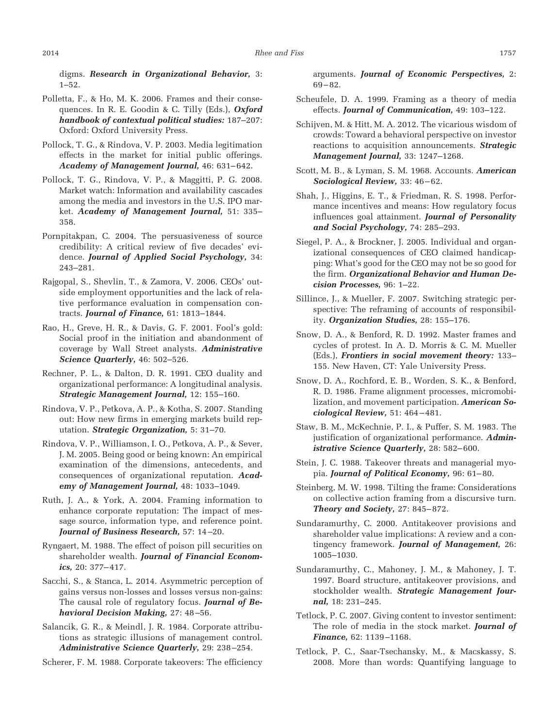digms. *Research in Organizational Behavior,* 3: 1–52.

- Polletta, F., & Ho, M. K. 2006. Frames and their consequences. In R. E. Goodin & C. Tilly (Eds.), *Oxford handbook of contextual political studies:* 187–207: Oxford: Oxford University Press.
- Pollock, T. G., & Rindova, V. P. 2003. Media legitimation effects in the market for initial public offerings. *Academy of Management Journal,* 46: 631–642.
- Pollock, T. G., Rindova, V. P., & Maggitti, P. G. 2008. Market watch: Information and availability cascades among the media and investors in the U.S. IPO market. *Academy of Management Journal,* 51: 335– 358.
- Pornpitakpan, C. 2004. The persuasiveness of source credibility: A critical review of five decades' evidence. *Journal of Applied Social Psychology,* 34: 243–281.
- Rajgopal, S., Shevlin, T., & Zamora, V. 2006. CEOs' outside employment opportunities and the lack of relative performance evaluation in compensation contracts. *Journal of Finance,* 61: 1813–1844.
- Rao, H., Greve, H. R., & Davis, G. F. 2001. Fool's gold: Social proof in the initiation and abandonment of coverage by Wall Street analysts. *Administrative Science Quarterly,* 46: 502–526.
- Rechner, P. L., & Dalton, D. R. 1991. CEO duality and organizational performance: A longitudinal analysis. *Strategic Management Journal,* 12: 155–160.
- Rindova, V. P., Petkova, A. P., & Kotha, S. 2007. Standing out: How new firms in emerging markets build reputation. *Strategic Organization,* 5: 31–70.
- Rindova, V. P., Williamson, I. O., Petkova, A. P., & Sever, J. M. 2005. Being good or being known: An empirical examination of the dimensions, antecedents, and consequences of organizational reputation. *Academy of Management Journal,* 48: 1033–1049.
- Ruth, J. A., & York, A. 2004. Framing information to enhance corporate reputation: The impact of message source, information type, and reference point. *Journal of Business Research,* 57: 14–20.
- Ryngaert, M. 1988. The effect of poison pill securities on shareholder wealth. *Journal of Financial Economics,* 20: 377–417.
- Sacchi, S., & Stanca, L. 2014. Asymmetric perception of gains versus non-losses and losses versus non-gains: The causal role of regulatory focus. *Journal of Behavioral Decision Making,* 27: 48–56.
- Salancik, G. R., & Meindl, J. R. 1984. Corporate attributions as strategic illusions of management control. *Administrative Science Quarterly,* 29: 238–254.

Scherer, F. M. 1988. Corporate takeovers: The efficiency

arguments. *Journal of Economic Perspectives,* 2: 69–82.

- Scheufele, D. A. 1999. Framing as a theory of media effects. *Journal of Communication,* 49: 103–122.
- Schijven, M. & Hitt, M. A. 2012. The vicarious wisdom of crowds: Toward a behavioral perspective on investor reactions to acquisition announcements. *Strategic Management Journal,* 33: 1247–1268.
- Scott, M. B., & Lyman, S. M. 1968. Accounts. *American Sociological Review,* 33: 46–62.
- Shah, J., Higgins, E. T., & Friedman, R. S. 1998. Performance incentives and means: How regulatory focus influences goal attainment. *Journal of Personality and Social Psychology,* 74: 285–293.
- Siegel, P. A., & Brockner, J. 2005. Individual and organizational consequences of CEO claimed handicapping: What's good for the CEO may not be so good for the firm. *Organizational Behavior and Human Decision Processes,* 96: 1–22.
- Sillince, J., & Mueller, F. 2007. Switching strategic perspective: The reframing of accounts of responsibility. *Organization Studies,* 28: 155–176.
- Snow, D. A., & Benford, R. D. 1992. Master frames and cycles of protest. In A. D. Morris & C. M. Mueller (Eds.), *Frontiers in social movement theory:* 133– 155. New Haven, CT: Yale University Press.
- Snow, D. A., Rochford, E. B., Worden, S. K., & Benford, R. D. 1986. Frame alignment processes, micromobilization, and movement participation. *American Sociological Review,* 51: 464–481.
- Staw, B. M., McKechnie, P. I., & Puffer, S. M. 1983. The justification of organizational performance. *Administrative Science Quarterly,* 28: 582–600.
- Stein, J. C. 1988. Takeover threats and managerial myopia. *Journal of Political Economy,* 96: 61–80.
- Steinberg, M. W. 1998. Tilting the frame: Considerations on collective action framing from a discursive turn. *Theory and Society,* 27: 845–872.
- Sundaramurthy, C. 2000. Antitakeover provisions and shareholder value implications: A review and a contingency framework. *Journal of Management,* 26: 1005–1030.
- Sundaramurthy, C., Mahoney, J. M., & Mahoney, J. T. 1997. Board structure, antitakeover provisions, and stockholder wealth. *Strategic Management Journal,* 18: 231–245.
- Tetlock, P. C. 2007. Giving content to investor sentiment: The role of media in the stock market. *Journal of Finance,* 62: 1139–1168.
- Tetlock, P. C., Saar-Tsechansky, M., & Macskassy, S. 2008. More than words: Quantifying language to